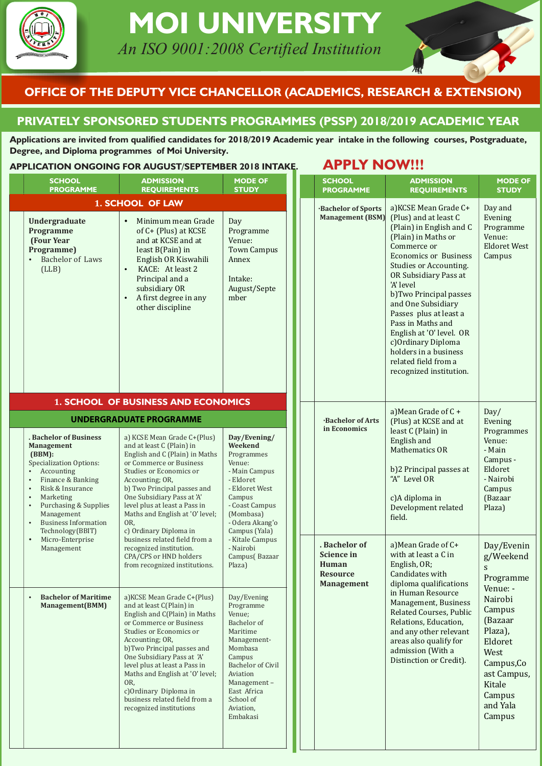

# **MOI UNIVERSITY** An ISO 9001:2008 Certified Institution

## **OFFICE OF THE DEPUTY VICE CHANCELLOR (ACADEMICS, RESEARCH & EXTENSION)**

### **PRIVATELY SPONSORED STUDENTS PROGRAMMES (PSSP) 2018/2019 ACADEMIC YEAR**

Applications are invited from qualified candidates for 2018/2019 Academic year intake in the following courses, Postgraduate, **Degree, and Diploma programmes of Moi University.** 

### **APPLICATION ONGOING FOR AUGUST/SEPTEMBER 2018 INTAKE. APPLY NOW!!!**

| <b>SCHOOL</b><br><b>PROGRAMME</b>                                                                                                                                                                                                                                                                                                 | <b>ADMISSION</b><br><b>REQUIREMENTS</b>                                                                                                                                                                                                                                                                                                                                                       | <b>MODE OF</b><br><b>STUDY</b>                                                                                                                                                                                |  |                                                                                                     | <b>SCHOOL</b><br><b>PROGRAMME</b>                    | <b>ADMISSION</b><br><b>REQUIREMENTS</b>                                                                                                                                                                                                                                                                                                                                                                               |
|-----------------------------------------------------------------------------------------------------------------------------------------------------------------------------------------------------------------------------------------------------------------------------------------------------------------------------------|-----------------------------------------------------------------------------------------------------------------------------------------------------------------------------------------------------------------------------------------------------------------------------------------------------------------------------------------------------------------------------------------------|---------------------------------------------------------------------------------------------------------------------------------------------------------------------------------------------------------------|--|-----------------------------------------------------------------------------------------------------|------------------------------------------------------|-----------------------------------------------------------------------------------------------------------------------------------------------------------------------------------------------------------------------------------------------------------------------------------------------------------------------------------------------------------------------------------------------------------------------|
|                                                                                                                                                                                                                                                                                                                                   | <b>1. SCHOOL OF LAW</b>                                                                                                                                                                                                                                                                                                                                                                       |                                                                                                                                                                                                               |  |                                                                                                     |                                                      | a) KCSE Mean Grade C+                                                                                                                                                                                                                                                                                                                                                                                                 |
| Undergraduate<br><b>Programme</b><br>(Four Year<br>Programme)<br><b>Bachelor of Laws</b><br>$\bullet$<br>(LLB)                                                                                                                                                                                                                    | Minimum mean Grade<br>$\bullet$<br>of C+ (Plus) at KCSE<br>and at KCSE and at<br>least B(Pain) in<br>English OR Kiswahili<br>KACE: At least 2<br>$\bullet$<br>Principal and a<br>subsidiary OR<br>A first degree in any<br>$\bullet$<br>other discipline                                                                                                                                      | Day<br>Programme<br>Venue:<br><b>Town Campus</b><br>Annex<br>Intake:<br>August/Septe<br>mber                                                                                                                  |  |                                                                                                     | <b>Bachelor of Sports</b><br><b>Management (BSM)</b> | (Plus) and at least C<br>(Plain) in English and C<br>(Plain) in Maths or<br>Commerce or<br><b>Economics or Business</b><br>Studies or Accounting.<br>OR Subsidiary Pass at<br>'A' level<br>b)Two Principal passes<br>and One Subsidiary<br>Passes plus at least a<br>Pass in Maths and<br>English at 'O' level. OR<br>c) Ordinary Diploma<br>holders in a business<br>related field from a<br>recognized institution. |
|                                                                                                                                                                                                                                                                                                                                   | <b>1. SCHOOL OF BUSINESS AND ECONOMICS</b><br><b>UNDERGRADUATE PROGRAMME</b>                                                                                                                                                                                                                                                                                                                  |                                                                                                                                                                                                               |  |                                                                                                     | <b>Bachelor of Arts</b>                              | a) Mean Grade of $C +$<br>(Plus) at KCSE and at                                                                                                                                                                                                                                                                                                                                                                       |
| . Bachelor of Business<br><b>Management</b><br>(BBM):<br><b>Specialization Options:</b><br>Accounting<br>Finance & Banking<br>$\bullet$<br>Risk & Insurance<br>$\bullet$<br>Marketing<br>$\bullet$<br><b>Purchasing &amp; Supplies</b><br>$\bullet$<br>Management<br><b>Business Information</b><br>$\bullet$<br>Technology(BBIT) | a) KCSE Mean Grade C+(Plus)<br>and at least C (Plain) in<br>English and C (Plain) in Maths<br>or Commerce or Business<br>Studies or Economics or<br>Accounting; OR,<br>b) Two Principal passes and<br>One Subsidiary Pass at 'A'<br>level plus at least a Pass in<br>Maths and English at 'O' level;<br>OR,<br>c) Ordinary Diploma in                                                         | Day/Evening/<br>Weekend<br>Programmes<br>Venue:<br>- Main Campus<br>- Eldoret<br>- Eldoret West<br>Campus<br>- Coast Campus<br>(Mombasa)<br>- Odera Akang'o<br>Campus (Yala)                                  |  | in Economics<br>. Bachelor of<br><b>Science in</b><br>Human<br><b>Resource</b><br><b>Management</b> |                                                      | least C (Plain) in<br>English and<br><b>Mathematics OR</b><br>b)2 Principal passes at<br>"A" Level OR<br>c)A diploma in<br>Development related<br>field.                                                                                                                                                                                                                                                              |
| Micro-Enterprise<br>$\bullet$<br>Management                                                                                                                                                                                                                                                                                       | business related field from a<br>recognized institution.<br>CPA/CPS or HND holders<br>from recognized institutions.                                                                                                                                                                                                                                                                           | - Kitale Campus<br>- Nairobi<br>Campus(Bazaar<br>Plaza)                                                                                                                                                       |  |                                                                                                     |                                                      | a) Mean Grade of C+<br>with at least a C in<br>English, OR;<br>Candidates with<br>diploma qualifications                                                                                                                                                                                                                                                                                                              |
| <b>Bachelor of Maritime</b><br>$\bullet$<br>Management(BMM)                                                                                                                                                                                                                                                                       | a) KCSE Mean Grade C+(Plus)<br>and at least C(Plain) in<br>English and C(Plain) in Maths<br>or Commerce or Business<br>Studies or Economics or<br>Accounting; OR,<br>b)Two Principal passes and<br>One Subsidiary Pass at 'A'<br>level plus at least a Pass in<br>Maths and English at 'O' level;<br>OR,<br>c)Ordinary Diploma in<br>business related field from a<br>recognized institutions | Day/Evening<br>Programme<br>Venue;<br>Bachelor of<br>Maritime<br>Management-<br>Mombasa<br>Campus<br><b>Bachelor of Civil</b><br>Aviation<br>Management-<br>East Africa<br>School of<br>Aviation,<br>Embakasi |  |                                                                                                     |                                                      | in Human Resource<br>Management, Business<br>Related Courses, Public<br>Relations, Education,<br>and any other relevant<br>areas also qualify for<br>admission (With a<br>Distinction or Credit).                                                                                                                                                                                                                     |

| <b>SCHOOL</b><br><b>PROGRAMME</b>                                                   | <b>ADMISSION</b><br><b>REQUIREMENTS</b>                                                                                                                                                                                                                                                                                                                                                                                                        | <b>MODE OF</b><br><b>STUDY</b>                                                                                                                                                             |
|-------------------------------------------------------------------------------------|------------------------------------------------------------------------------------------------------------------------------------------------------------------------------------------------------------------------------------------------------------------------------------------------------------------------------------------------------------------------------------------------------------------------------------------------|--------------------------------------------------------------------------------------------------------------------------------------------------------------------------------------------|
| <b>Bachelor of Sports</b><br><b>Management (BSM)</b>                                | a) KCSE Mean Grade C+<br>(Plus) and at least C<br>(Plain) in English and C<br>(Plain) in Maths or<br>Commerce or<br><b>Economics or Business</b><br>Studies or Accounting.<br>OR Subsidiary Pass at<br>'A' level<br>b)Two Principal passes<br>and One Subsidiary<br>Passes plus at least a<br>Pass in Maths and<br>English at 'O' level. OR<br>c) Ordinary Diploma<br>holders in a business<br>related field from a<br>recognized institution. | Day and<br>Evening<br>Programme<br>Venue:<br><b>Eldoret West</b><br>Campus                                                                                                                 |
| <b>Bachelor of Arts</b><br>in Economics                                             | a) Mean Grade of $C +$<br>(Plus) at KCSE and at<br>least C (Plain) in<br>English and<br>Mathematics OR<br>b)2 Principal passes at<br>"A" Level OR<br>c)A diploma in<br>Development related<br>field.                                                                                                                                                                                                                                           | Day/<br>Evening<br>Programmes<br>Venue:<br>- Main<br>Campus -<br>Eldoret<br>- Nairobi<br>Campus<br>(Bazaar<br>Plaza)                                                                       |
| . Bachelor of<br><b>Science in</b><br>Human<br><b>Resource</b><br><b>Management</b> | a) Mean Grade of C+<br>with at least a C in<br>English, OR;<br>Candidates with<br>diploma qualifications<br>in Human Resource<br>Management, Business<br>Related Courses, Public<br>Relations, Education,<br>and any other relevant<br>areas also qualify for<br>admission (With a<br>Distinction or Credit).                                                                                                                                  | Day/Evenin<br>g/Weekend<br>S<br>Programme<br>Venue: -<br>Nairobi<br>Campus<br>(Bazaar<br>Plaza),<br>Eldoret<br>West<br>Campus, Co<br>ast Campus,<br>Kitale<br>Campus<br>and Yala<br>Campus |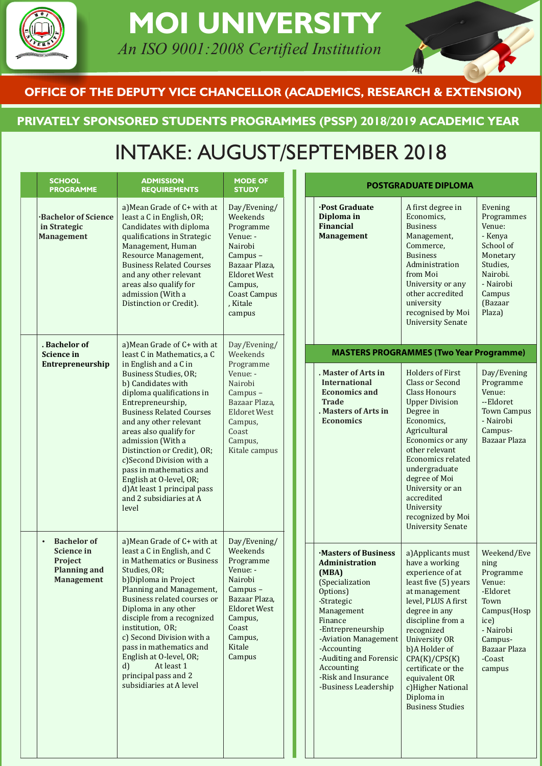

# **MOI UNIVERSITY** An ISO 9001:2008 Certified Institution

## **OFFICE OF THE DEPUTY VICE CHANCELLOR (ACADEMICS, RESEARCH & EXTENSION)**

## **PRIVATELY SPONSORED STUDENTS PROGRAMMES (PSSP) 2018/2019 ACADEMIC YEAR**

# INTAKE: AUGUST/SEPTEMBER 2018

| <b>SCHOOL</b>                             | <b>ADMISSION</b><br><b>REQUIREMENTS</b>                                                                                                                                                                                                                                                                                                                                                                                         | <b>PROGRAMME</b>                                        | <b>MODE OF</b><br><b>STUDY</b>                                                                                                                                          |  |                                                                                                                                                                                                                                                                         | <b>POSTGRADUATE DIPLOMA</b>                                                                                                                                                                                                                                                                                                                 |                                                                                                                                                   |
|-------------------------------------------|---------------------------------------------------------------------------------------------------------------------------------------------------------------------------------------------------------------------------------------------------------------------------------------------------------------------------------------------------------------------------------------------------------------------------------|---------------------------------------------------------|-------------------------------------------------------------------------------------------------------------------------------------------------------------------------|--|-------------------------------------------------------------------------------------------------------------------------------------------------------------------------------------------------------------------------------------------------------------------------|---------------------------------------------------------------------------------------------------------------------------------------------------------------------------------------------------------------------------------------------------------------------------------------------------------------------------------------------|---------------------------------------------------------------------------------------------------------------------------------------------------|
| in Strategic<br><b>Management</b>         | a) Mean Grade of C+ with at<br>least a C in English, OR;<br>Candidates with diploma<br>qualifications in Strategic<br>Management, Human<br>Resource Management,<br><b>Business Related Courses</b><br>and any other relevant<br>areas also qualify for<br>admission (With a<br>Distinction or Credit).                                                                                                                          | <b>Bachelor of Science</b>                              | Day/Evening/<br>Weekends<br>Programme<br>Venue: -<br>Nairobi<br>Campus-<br>Bazaar Plaza,<br><b>Eldoret West</b><br>Campus,<br><b>Coast Campus</b><br>, Kitale<br>campus |  | <b>Post Graduate</b><br>Diploma in<br><b>Financial</b><br><b>Management</b>                                                                                                                                                                                             | A first degree in<br>Economics,<br><b>Business</b><br>Management,<br>Commerce,<br><b>Business</b><br>Administration<br>from Moi<br>University or any<br>other accredited<br>university<br>recognised by Moi<br><b>University Senate</b>                                                                                                     | Evening<br>Programmes<br>Venue:<br>- Kenya<br>School of<br>Monetary<br>Studies,<br>Nairobi.<br>- Nairobi<br>Campus<br>(Bazaar<br>Plaza)           |
| . Bachelor of<br><b>Science in</b>        | a) Mean Grade of C+ with at<br>least C in Mathematics, a C                                                                                                                                                                                                                                                                                                                                                                      |                                                         | Day/Evening/<br>Weekends                                                                                                                                                |  |                                                                                                                                                                                                                                                                         | <b>MASTERS PROGRAMMES (Two Year Programme)</b>                                                                                                                                                                                                                                                                                              |                                                                                                                                                   |
|                                           | in English and a C in<br>Business Studies, OR;<br>b) Candidates with<br>diploma qualifications in<br>Entrepreneurship,<br><b>Business Related Courses</b><br>and any other relevant<br>areas also qualify for<br>admission (With a<br>Distinction or Credit), OR;<br>c)Second Division with a<br>pass in mathematics and<br>English at O-level, OR;<br>d) At least 1 principal pass<br>and 2 subsidiaries at A<br>level         | Entrepreneurship                                        | Programme<br>Venue: -<br>Nairobi<br>Campus-<br>Bazaar Plaza,<br><b>Eldoret West</b><br>Campus,<br>Coast<br>Campus,<br>Kitale campus                                     |  | . Master of Arts in<br><b>International</b><br><b>Economics and</b><br><b>Trade</b><br>. Masters of Arts in<br><b>Economics</b>                                                                                                                                         | <b>Holders of First</b><br><b>Class or Second</b><br>Class Honours<br><b>Upper Division</b><br>Degree in<br>Economics,<br>Agricultural<br>Economics or any<br>other relevant<br><b>Economics related</b><br>undergraduate<br>degree of Moi<br>University or an<br>accredited<br>University<br>recognized by Moi<br><b>University Senate</b> | Day/Evening<br>Programme<br>Venue:<br>--Eldoret<br><b>Town Campus</b><br>- Nairobi<br>Campus-<br>Bazaar Plaza                                     |
| $\bullet$<br><b>Science in</b><br>Project | a) Mean Grade of C+ with at<br>least a C in English, and C<br>in Mathematics or Business<br>Studies, OR;<br>b)Diploma in Project<br>Planning and Management,<br>Business related courses or<br>Diploma in any other<br>disciple from a recognized<br>institution, OR;<br>c) Second Division with a<br>pass in mathematics and<br>English at O-level, OR;<br>At least 1<br>d)<br>principal pass and 2<br>subsidiaries at A level | <b>Bachelor of</b><br><b>Planning and</b><br>Management | Day/Evening/<br>Weekends<br>Programme<br>Venue: -<br>Nairobi<br>Campus -<br>Bazaar Plaza,<br><b>Eldoret West</b><br>Campus,<br>Coast<br>Campus,<br>Kitale<br>Campus     |  | Masters of Business<br>Administration<br>(MBA)<br>(Specialization<br>Options)<br>-Strategic<br>Management<br>Finance<br>-Entrepreneurship<br>-Aviation Management<br>-Accounting<br>-Auditing and Forensic<br>Accounting<br>-Risk and Insurance<br>-Business Leadership | a) Applicants must<br>have a working<br>experience of at<br>least five (5) years<br>at management<br>level, PLUS A first<br>degree in any<br>discipline from a<br>recognized<br>University OR<br>b)A Holder of<br>CPA(K)/CPS(K)<br>certificate or the<br>equivalent OR<br>c)Higher National<br>Diploma in<br><b>Business Studies</b>        | Weekend/Eve<br>ning<br>Programme<br>Venue:<br>-Eldoret<br>Town<br>Campus(Hosp<br>ice)<br>- Nairobi<br>Campus-<br>Bazaar Plaza<br>-Coast<br>campus |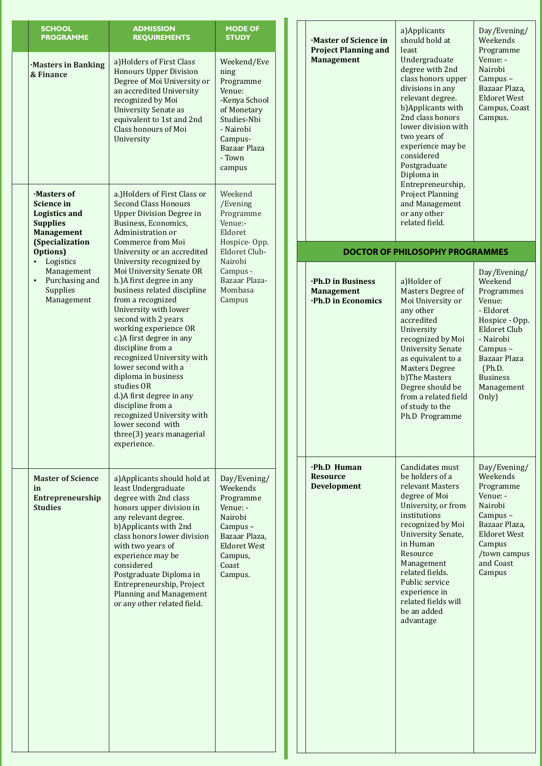| <b>SCHOOL</b><br><b>PROGRAMME</b>                                                                                  | <b>ADMISSION</b><br><b>REQUIREMENTS</b>                                                                                                                                                                                                                                                                                                                                                                                                                                         | <b>MODE OF</b><br><b>STUDY</b>                                                                                                                        |  | ·Master of Science in<br><b>Project Planning and</b>         | a) Applicants<br>should hold at<br>least                                                                                                                                                                                                                                                                 | Day/Evening/<br>Weekends<br>Programme                                                                                                                                                             |
|--------------------------------------------------------------------------------------------------------------------|---------------------------------------------------------------------------------------------------------------------------------------------------------------------------------------------------------------------------------------------------------------------------------------------------------------------------------------------------------------------------------------------------------------------------------------------------------------------------------|-------------------------------------------------------------------------------------------------------------------------------------------------------|--|--------------------------------------------------------------|----------------------------------------------------------------------------------------------------------------------------------------------------------------------------------------------------------------------------------------------------------------------------------------------------------|---------------------------------------------------------------------------------------------------------------------------------------------------------------------------------------------------|
| <b>Masters in Banking</b><br>& Finance                                                                             | a) Holders of First Class<br><b>Honours Upper Division</b><br>Degree of Moi University or<br>an accredited University<br>recognized by Moi<br><b>University Senate as</b><br>equivalent to 1st and 2nd<br>Class honours of Moi<br>University                                                                                                                                                                                                                                    | Weekend/Eve<br>ning<br>Programme<br>Venue:<br>-Kenya School<br>of Monetary<br>Studies-Nbi<br>- Nairobi<br>Campus-<br>Bazaar Plaza<br>- Town<br>campus |  | <b>Management</b>                                            | Undergraduate<br>degree with 2nd<br>class honors upper<br>divisions in any<br>relevant degree.<br>b) Applicants with<br>2nd class honors<br>lower division with<br>two years of<br>experience may be<br>considered<br>Postgraduate<br>Diploma in                                                         | Venue: -<br>Nairobi<br>Campus-<br>Bazaar Plaza,<br><b>Eldoret West</b><br>Campus, Coast<br>Campus.                                                                                                |
| Masters of<br><b>Science in</b><br><b>Logistics and</b><br><b>Supplies</b><br><b>Management</b><br>(Specialization | a.) Holders of First Class or<br><b>Second Class Honours</b><br><b>Upper Division Degree in</b><br>Business, Economics,<br>Administration or<br><b>Commerce from Moi</b>                                                                                                                                                                                                                                                                                                        | Weekend<br>/Evening<br>Programme<br>Venue:-<br>Eldoret<br>Hospice-Opp.                                                                                |  |                                                              | Entrepreneurship,<br><b>Project Planning</b><br>and Management<br>or any other<br>related field.                                                                                                                                                                                                         |                                                                                                                                                                                                   |
| Options)<br>Logistics<br>$\bullet$                                                                                 | University or an accredited<br>University recognized by                                                                                                                                                                                                                                                                                                                                                                                                                         | Eldoret Club-<br>Nairobi                                                                                                                              |  |                                                              | <b>DOCTOR OF PHILOSOPHY PROGRAMMES</b>                                                                                                                                                                                                                                                                   |                                                                                                                                                                                                   |
| Management<br>Purchasing and<br>$\bullet$<br>Supplies<br>Management                                                | Moi University Senate OR<br>b.) A first degree in any<br>business related discipline<br>from a recognized<br>University with lower<br>second with 2 years<br>working experience OR<br>c.) A first degree in any<br>discipline from a<br>recognized University with<br>lower second with a<br>diploma in business<br>studies OR<br>d.) A first degree in any<br>discipline from a<br>recognized University with<br>lower second with<br>three(3) years managerial<br>experience. | Campus -<br>Bazaar Plaza-<br>Mombasa<br>Campus                                                                                                        |  | ·Ph.D in Business<br><b>Management</b><br>·Ph.D in Economics | a)Holder of<br>Masters Degree of<br>Moi University or<br>any other<br>accredited<br>University<br>recognized by Moi<br><b>University Senate</b><br>as equivalent to a<br><b>Masters Degree</b><br>b)The Masters<br>Degree should be<br>from a related field<br>of study to the<br>Ph.D Programme         | Day/Evening/<br>Weekend<br>Programmes<br>Venue:<br>- Eldoret<br>Hospice - Opp.<br><b>Eldoret Club</b><br>- Nairobi<br>Campus-<br>Bazaar Plaza<br>(Ph.D.<br><b>Business</b><br>Management<br>Only) |
| <b>Master of Science</b><br>in<br>Entrepreneurship<br><b>Studies</b>                                               | a) Applicants should hold at<br>least Undergraduate<br>degree with 2nd class<br>honors upper division in<br>any relevant degree.<br>b) Applicants with 2nd<br>class honors lower division<br>with two years of<br>experience may be<br>considered<br>Postgraduate Diploma in<br>Entrepreneurship, Project<br><b>Planning and Management</b><br>or any other related field.                                                                                                      | Day/Evening/<br>Weekends<br>Programme<br>Venue: -<br>Nairobi<br>Campus-<br>Bazaar Plaza,<br><b>Eldoret West</b><br>Campus,<br>Coast<br>Campus.        |  | ·Ph.D Human<br><b>Resource</b><br><b>Development</b>         | Candidates must<br>be holders of a<br>relevant Masters<br>degree of Moi<br>University, or from<br>institutions<br>recognized by Moi<br>University Senate,<br>in Human<br>Resource<br>Management<br>related fields.<br>Public service<br>experience in<br>related fields will<br>be an added<br>advantage | Day/Evening/<br>Weekends<br>Programme<br>Venue: -<br>Nairobi<br>Campus-<br>Bazaar Plaza,<br><b>Eldoret West</b><br>Campus<br>/town campus<br>and Coast<br>Campus                                  |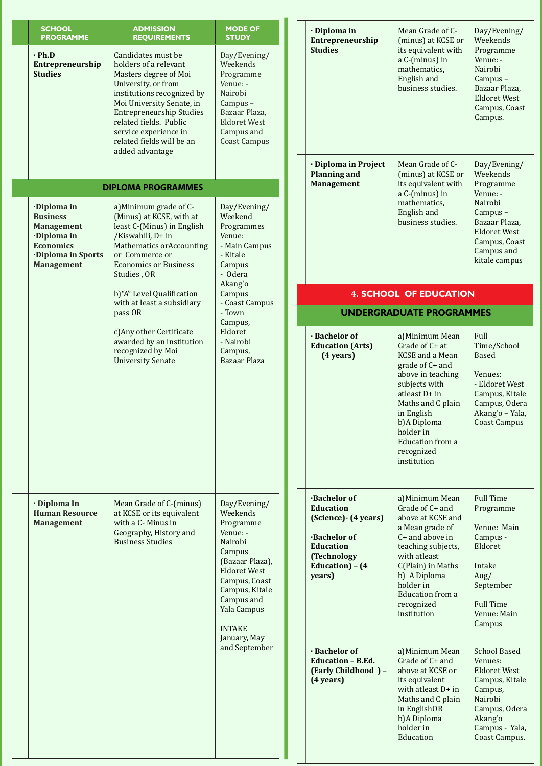| <b>SCHOOL</b><br><b>PROGRAMME</b>                                                                                                | <b>ADMISSION</b><br><b>REQUIREMENTS</b>                                                                                                                                                                                                                                                      | <b>MODE OF</b><br><b>STUDY</b>                                                                                                                                                                                    | · Diploma in<br>Entrepreneurship                                                                                                                                                                                                                             | Mean Grade of C-<br>(minus) at KCSE or                                                                                                                                                                                                          | Day/Evening/<br>Weekends                                                                                                                                     |
|----------------------------------------------------------------------------------------------------------------------------------|----------------------------------------------------------------------------------------------------------------------------------------------------------------------------------------------------------------------------------------------------------------------------------------------|-------------------------------------------------------------------------------------------------------------------------------------------------------------------------------------------------------------------|--------------------------------------------------------------------------------------------------------------------------------------------------------------------------------------------------------------------------------------------------------------|-------------------------------------------------------------------------------------------------------------------------------------------------------------------------------------------------------------------------------------------------|--------------------------------------------------------------------------------------------------------------------------------------------------------------|
| $\cdot$ Ph.D<br>Entrepreneurship<br><b>Studies</b>                                                                               | Candidates must be<br>holders of a relevant<br>Masters degree of Moi<br>University, or from<br>institutions recognized by<br>Moi University Senate, in<br><b>Entrepreneurship Studies</b><br>related fields. Public<br>service experience in<br>related fields will be an<br>added advantage | Day/Evening/<br>Weekends<br>Programme<br>Venue: -<br>Nairobi<br>Campus-<br>Bazaar Plaza,<br><b>Eldoret West</b><br>Campus and<br><b>Coast Campus</b>                                                              | <b>Studies</b>                                                                                                                                                                                                                                               | its equivalent with<br>a C-(minus) in<br>mathematics,<br>English and<br>business studies.                                                                                                                                                       | Programme<br>Venue: -<br>Nairobi<br>Campus-<br>Bazaar Plaza,<br><b>Eldoret West</b><br>Campus, Coast<br>Campus.                                              |
|                                                                                                                                  |                                                                                                                                                                                                                                                                                              |                                                                                                                                                                                                                   | · Diploma in Project<br><b>Planning and</b>                                                                                                                                                                                                                  | Mean Grade of C-<br>(minus) at KCSE or                                                                                                                                                                                                          | Day/Evening/<br>Weekends                                                                                                                                     |
|                                                                                                                                  | <b>DIPLOMA PROGRAMMES</b>                                                                                                                                                                                                                                                                    |                                                                                                                                                                                                                   | <b>Management</b>                                                                                                                                                                                                                                            | its equivalent with<br>a C-(minus) in                                                                                                                                                                                                           | Programme<br>Venue: -                                                                                                                                        |
| ·Diploma in<br><b>Business</b><br><b>Management</b><br>·Diploma in<br><b>Economics</b><br>Diploma in Sports<br><b>Management</b> | a) Minimum grade of C-<br>(Minus) at KCSE, with at<br>least C-(Minus) in English<br>/Kiswahili, D+ in<br><b>Mathematics or Accounting</b><br>or Commerce or<br><b>Economics or Business</b><br>Studies, OR                                                                                   | Day/Evening/<br>Weekend<br>Programmes<br>Venue:<br>- Main Campus<br>- Kitale<br>Campus<br>- Odera<br>Akang'o                                                                                                      |                                                                                                                                                                                                                                                              | mathematics,<br>English and<br>business studies.                                                                                                                                                                                                | Nairobi<br>Campus-<br>Bazaar Plaza,<br><b>Eldoret West</b><br>Campus, Coast<br>Campus and<br>kitale campus                                                   |
|                                                                                                                                  | b)"A" Level Qualification<br>with at least a subsidiary                                                                                                                                                                                                                                      | Campus<br>- Coast Campus                                                                                                                                                                                          |                                                                                                                                                                                                                                                              | <b>4. SCHOOL OF EDUCATION</b>                                                                                                                                                                                                                   |                                                                                                                                                              |
|                                                                                                                                  | - Town<br>pass OR<br>Campus,<br>c) Any other Certificate<br>Eldoret<br>awarded by an institution<br>- Nairobi<br>recognized by Moi<br>Campus,<br><b>University Senate</b><br>Bazaar Plaza                                                                                                    |                                                                                                                                                                                                                   |                                                                                                                                                                                                                                                              | <b>UNDERGRADUATE PROGRAMMES</b>                                                                                                                                                                                                                 |                                                                                                                                                              |
|                                                                                                                                  |                                                                                                                                                                                                                                                                                              | · Bachelor of<br><b>Education (Arts)</b><br>$(4 \text{ years})$                                                                                                                                                   | a) Minimum Mean<br>Grade of C+ at<br><b>KCSE</b> and a Mean<br>grade of C+ and<br>above in teaching<br>subjects with<br>atleast D+ in<br>Maths and C plain<br>in English<br>b)A Diploma<br>holder in<br><b>Education from a</b><br>recognized<br>institution | Full<br>Time/School<br><b>Based</b><br>Venues:<br>- Eldoret West<br>Campus, Kitale<br>Campus, Odera<br>Akang'o - Yala,<br><b>Coast Campus</b>                                                                                                   |                                                                                                                                                              |
| · Diploma In<br><b>Human Resource</b><br><b>Management</b>                                                                       | Mean Grade of C-(minus)<br>at KCSE or its equivalent<br>with a C- Minus in<br>Geography, History and<br><b>Business Studies</b>                                                                                                                                                              | Day/Evening/<br>Weekends<br>Programme<br>Venue: -<br>Nairobi<br>Campus<br>(Bazaar Plaza),<br><b>Eldoret West</b><br>Campus, Coast<br>Campus, Kitale<br>Campus and<br>Yala Campus<br><b>INTAKE</b><br>January, May | <b>Bachelor of</b><br><b>Education</b><br>(Science) - (4 years)<br><b>Bachelor of</b><br><b>Education</b><br>(Technology<br>Education) - (4<br>years)                                                                                                        | a) Minimum Mean<br>Grade of C+ and<br>above at KCSE and<br>a Mean grade of<br>$C+$ and above in<br>teaching subjects,<br>with atleast<br>C(Plain) in Maths<br>b) A Diploma<br>holder in<br><b>Education from a</b><br>recognized<br>institution | <b>Full Time</b><br>Programme<br>Venue: Main<br>Campus -<br>Eldoret<br>Intake<br>Aug/<br>September<br><b>Full Time</b><br>Venue: Main<br>Campus              |
|                                                                                                                                  |                                                                                                                                                                                                                                                                                              | and September                                                                                                                                                                                                     | · Bachelor of<br>Education - B.Ed.<br>(Early Childhood) -<br>(4 years)                                                                                                                                                                                       | a) Minimum Mean<br>Grade of C+ and<br>above at KCSE or<br>its equivalent<br>with at least $D+$ in<br>Maths and C plain<br>in EnglishOR<br>b)A Diploma<br>holder in<br>Education                                                                 | <b>School Based</b><br>Venues:<br><b>Eldoret West</b><br>Campus, Kitale<br>Campus,<br>Nairobi<br>Campus, Odera<br>Akang'o<br>Campus - Yala,<br>Coast Campus. |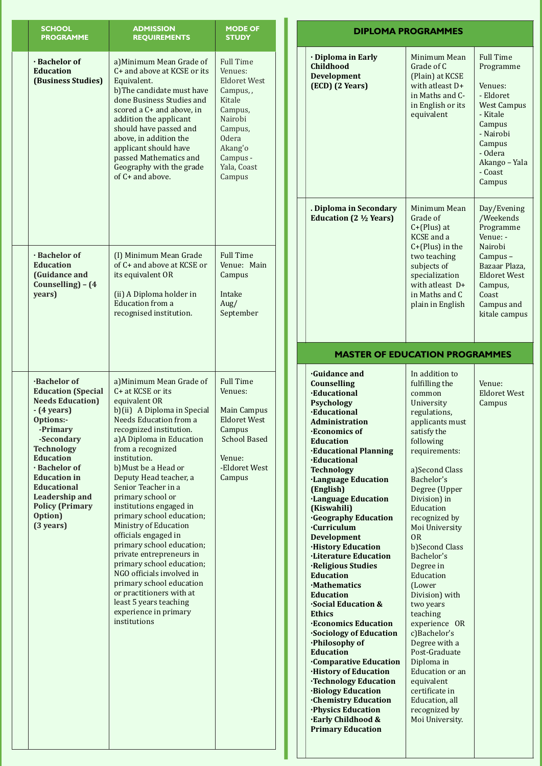| <b>SCHOOL</b><br><b>PROGRAMME</b>                                                                                                                                                                                                                                                                                                      | <b>ADMISSION</b><br><b>REQUIREMENTS</b>                                                                                                                                                                                                                                                                                                                                                                                                                                                                                                                                                                                                                                                 | <b>MODE OF</b><br><b>STUDY</b>                                                                                                                                            |                                                                                                                                                                                                                                                                                                                                                                                                                                                                                                                                                                                                                                       |
|----------------------------------------------------------------------------------------------------------------------------------------------------------------------------------------------------------------------------------------------------------------------------------------------------------------------------------------|-----------------------------------------------------------------------------------------------------------------------------------------------------------------------------------------------------------------------------------------------------------------------------------------------------------------------------------------------------------------------------------------------------------------------------------------------------------------------------------------------------------------------------------------------------------------------------------------------------------------------------------------------------------------------------------------|---------------------------------------------------------------------------------------------------------------------------------------------------------------------------|---------------------------------------------------------------------------------------------------------------------------------------------------------------------------------------------------------------------------------------------------------------------------------------------------------------------------------------------------------------------------------------------------------------------------------------------------------------------------------------------------------------------------------------------------------------------------------------------------------------------------------------|
| · Bachelor of<br><b>Education</b><br>(Business Studies)                                                                                                                                                                                                                                                                                | a) Minimum Mean Grade of<br>C+ and above at KCSE or its<br>Equivalent.<br>b)The candidate must have<br>done Business Studies and<br>scored a C+ and above, in<br>addition the applicant<br>should have passed and<br>above, in addition the<br>applicant should have<br>passed Mathematics and<br>Geography with the grade<br>of C+ and above.                                                                                                                                                                                                                                                                                                                                          | <b>Full Time</b><br>Venues:<br><b>Eldoret West</b><br>Campus,,<br>Kitale<br>Campus,<br>Nairobi<br>Campus,<br><b>Odera</b><br>Akang'o<br>Campus -<br>Yala, Coast<br>Campus | · Diploma<br>Childhoo<br>Developn<br>$(ECD)$ $(2)$<br>. Diploma<br><b>Education</b>                                                                                                                                                                                                                                                                                                                                                                                                                                                                                                                                                   |
| · Bachelor of<br><b>Education</b><br>(Guidance and<br>Counselling) - (4<br>years)                                                                                                                                                                                                                                                      | (I) Minimum Mean Grade<br>of C+ and above at KCSE or<br>its equivalent OR<br>(ii) A Diploma holder in<br><b>Education from a</b><br>recognised institution.                                                                                                                                                                                                                                                                                                                                                                                                                                                                                                                             | <b>Full Time</b><br>Venue: Main<br>Campus<br>Intake<br>Aug/<br>September                                                                                                  | M/                                                                                                                                                                                                                                                                                                                                                                                                                                                                                                                                                                                                                                    |
| <b>Bachelor of</b><br><b>Education (Special</b><br><b>Needs Education</b> )<br>$-$ (4 years)<br><b>Options:-</b><br>-Primary<br>-Secondary<br><b>Technology</b><br><b>Education</b><br>· Bachelor of<br><b>Education in</b><br><b>Educational</b><br><b>Leadership and</b><br><b>Policy (Primary</b><br>Option)<br>$(3 \text{ years})$ | a) Minimum Mean Grade of<br>C+ at KCSE or its<br>equivalent OR<br>b)(ii) A Diploma in Special<br><b>Needs Education from a</b><br>recognized institution.<br>a) A Diploma in Education<br>from a recognized<br>institution.<br>b) Must be a Head or<br>Deputy Head teacher, a<br>Senior Teacher in a<br>primary school or<br>institutions engaged in<br>primary school education;<br><b>Ministry of Education</b><br>officials engaged in<br>primary school education;<br>private entrepreneurs in<br>primary school education;<br>NGO officials involved in<br>primary school education<br>or practitioners with at<br>least 5 years teaching<br>experience in primary<br>institutions | <b>Full Time</b><br>Venues:<br>Main Campus<br><b>Eldoret West</b><br>Campus<br><b>School Based</b><br>Venue:<br>-Eldoret West<br>Campus                                   | <b>Guidance</b><br><b>Counselli</b><br><b>·Educatio</b><br>Psycholog<br>·Educatio<br><b>Administ</b><br>·Economi<br><b>Education</b><br><b>·Educatio</b><br>·Educatio<br><b>Technolo</b><br>·Languag<br>(English)<br>·Language<br><b>(Kiswahil</b><br><b>Geograp</b><br><b>Curriculu</b><br>Developn<br>·History I<br>·Literatur<br>·Religious<br><b>Education</b><br>·Mathema<br><b>Education</b><br>Social Ed<br><b>Ethics</b><br>·Economi<br>·Sociology<br>·Philosop<br><b>Education</b><br><b>Compara</b><br>·History o<br>·Technolo<br><b>Biology</b> I<br><b>Chemisti</b><br>·Physics I<br><b>Early Chi</b><br><b>Primary</b> I |

### **in Early**  $\mathbf d$ **nent Years**) Minimum Mean Grade of C (Plain) at KCSE with at least  $D+$ in Maths and Cin English or its equivalent Full Time Programme Venues: - Eldoret West Campus - Kitale Campus - Nairobi Campus - Odera Akango - Yala - Coast Campus **in Secondary E** (2 ½ Years) Minimum Mean Grade of  $C+$ (Plus) at KCSE and a  $C+$ (Plus) in the two teaching subjects of specialization with atleast  $D+$ in Maths and C plain in English Day/Evening /Weekends Programme Venue: -Nairobi Campus -Bazaar Plaza, **Eldoret West** Campus, Coast Campus and kitale campus **·Guidance and Counselling ·Educational gy** *<u>rial</u>* **Pration ics** of **Education nal Planning nal gy** *<u>reefs</u>* Education *<u>Pe Education</u>*  $(i)$ **hy Education ·Curriculum Development Education re Education s** Studies **Education** atics **Education** *<u>ucation &*</u> *<u>ics Education</u>* **v** of Education **hy** of **Education ative Education** *<u>bf Education</u> <u>rgy Education</u>* **·Biology Education ·Chemistry Education ducation ·Early Childhood & Education** In addition to fulfilling the common University regulations, applicants must satisfy the following requirements: a)Second Class Bachelor's Degree (Upper  $Division$ ) $in$ Education recognized by Moi University OR b)Second Class Bachelor's Degree in Education (Lower Division) with two years teaching experience OR c)Bachelor's Degree with a Post-Graduate Diploma in Education or an equivalent certificate in Education, all recognized by Moi University. Venue: **Eldoret West** Campus **MASTER OF EDUCATION PROGRAMMES DIPLOMA PROGRAMMES**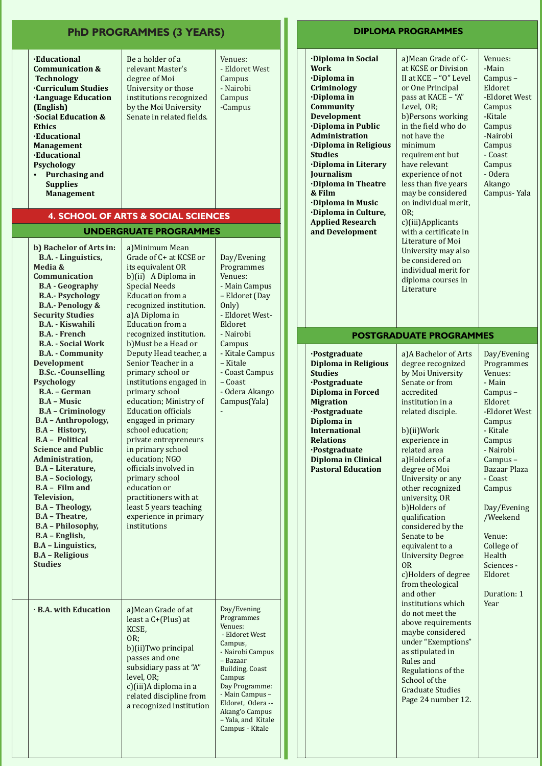|                                                                                                                                                                                                                                                                                                                                                                                                                                                                                                                                                                                                                                                                                                                                                                                                                                                      | <b>PhD PROGRAMMES (3 YEARS)</b>                                                                                                                                                                                                                                                                                                                                                                                                                                                                                                                                                                                                                                                                                                             |                                                                                                                                                                                                                                                     |
|------------------------------------------------------------------------------------------------------------------------------------------------------------------------------------------------------------------------------------------------------------------------------------------------------------------------------------------------------------------------------------------------------------------------------------------------------------------------------------------------------------------------------------------------------------------------------------------------------------------------------------------------------------------------------------------------------------------------------------------------------------------------------------------------------------------------------------------------------|---------------------------------------------------------------------------------------------------------------------------------------------------------------------------------------------------------------------------------------------------------------------------------------------------------------------------------------------------------------------------------------------------------------------------------------------------------------------------------------------------------------------------------------------------------------------------------------------------------------------------------------------------------------------------------------------------------------------------------------------|-----------------------------------------------------------------------------------------------------------------------------------------------------------------------------------------------------------------------------------------------------|
| <b>Educational</b><br><b>Communication &amp;</b><br><b>Technology</b><br><b>Curriculum Studies</b><br><b>Language Education</b><br>(English)<br>Social Education &<br><b>Ethics</b><br><b>Educational</b><br><b>Management</b><br><b>Educational</b><br><b>Psychology</b><br><b>Purchasing and</b><br><b>Supplies</b><br><b>Management</b>                                                                                                                                                                                                                                                                                                                                                                                                                                                                                                           | Be a holder of a<br>relevant Master's<br>degree of Moi<br>University or those<br>institutions recognized<br>by the Moi University<br>Senate in related fields.                                                                                                                                                                                                                                                                                                                                                                                                                                                                                                                                                                              | Venues:<br>- Eldoret West<br>Campus<br>- Nairobi<br>Campus<br>-Campus                                                                                                                                                                               |
|                                                                                                                                                                                                                                                                                                                                                                                                                                                                                                                                                                                                                                                                                                                                                                                                                                                      | <b>4. SCHOOL OF ARTS &amp; SOCIAL SCIENCES</b>                                                                                                                                                                                                                                                                                                                                                                                                                                                                                                                                                                                                                                                                                              |                                                                                                                                                                                                                                                     |
| b) Bachelor of Arts in:<br>B.A. - Linguistics,<br>Media &<br>Communication<br><b>B.A</b> - Geography<br><b>B.A.- Psychology</b><br><b>B.A.- Penology &amp;</b><br><b>Security Studies</b><br><b>B.A. - Kiswahili</b><br><b>B.A.</b> - French<br><b>B.A. - Social Work</b><br><b>B.A. - Community</b><br><b>Development</b><br><b>B.Sc.</b> - Counselling<br><b>Psychology</b><br>B.A. - German<br><b>B.A - Music</b><br><b>B.A</b> - Criminology<br><b>B.A</b> - Anthropology,<br><b>B.A - History,</b><br><b>B.A - Political</b><br><b>Science and Public</b><br>Administration,<br><b>B.A</b> - Literature,<br><b>B.A</b> – Sociology,<br>$BA - Film$ and<br>Television.<br><b>B.A</b> - Theology,<br><b>B.A</b> - Theatre,<br><b>B.A</b> - Philosophy,<br>B.A - English,<br><b>B.A</b> - Linguistics,<br><b>B.A - Religious</b><br><b>Studies</b> | <b>UNDERGRUATE PROGRAMMES</b><br>a) Minimum Mean<br>Grade of C+ at KCSE or<br>its equivalent OR<br>b)(ii) A Diploma in<br><b>Special Needs</b><br>Education from a<br>recognized institution.<br>a) A Diploma in<br><b>Education from a</b><br>recognized institution.<br>b) Must be a Head or<br>Deputy Head teacher, a<br>Senior Teacher in a<br>primary school or<br>institutions engaged in<br>primary school<br>education; Ministry of<br><b>Education officials</b><br>engaged in primary<br>school education;<br>private entrepreneurs<br>in primary school<br>education: NGO<br>officials involved in<br>primary school<br>education or<br>practitioners with at<br>least 5 years teaching<br>experience in primary<br>institutions | Day/Evening<br>Programmes<br>Venues:<br>- Main Campus<br>- Eldoret (Day<br>Only)<br>- Eldoret West-<br>Eldoret<br>- Nairobi<br>Campus<br>- Kitale Campus<br>- Kitale<br>- Coast Campus<br>- Coast<br>- Odera Akango<br>Campus(Yala)                 |
| <b>· B.A. with Education</b>                                                                                                                                                                                                                                                                                                                                                                                                                                                                                                                                                                                                                                                                                                                                                                                                                         | a) Mean Grade of at<br>least a C+(Plus) at<br>KCSE,<br>OR:<br>b)(ii)Two principal<br>passes and one<br>subsidiary pass at "A"<br>level, OR;<br>c)(iii)A diploma in a<br>related discipline from<br>a recognized institution                                                                                                                                                                                                                                                                                                                                                                                                                                                                                                                 | Day/Evening<br>Programmes<br>Venues:<br>- Eldoret West<br>Campus,<br>- Nairobi Campus<br>- Bazaar<br>Building, Coast<br>Campus<br>Day Programme:<br>- Main Campus -<br>Eldoret, Odera --<br>Akang'o Campus<br>- Yala, and Kitale<br>Campus - Kitale |

### **DIPLOMA PROGRAMMES**

| Diploma in Social<br>Work<br>Diploma in<br>Criminology<br>Diploma in<br>Community<br><b>Development</b><br>Diploma in Public<br><b>Administration</b><br>Diploma in Religious<br><b>Studies</b><br>Diploma in Literary<br><b>Journalism</b><br><b>Diploma in Theatre</b><br>& Film<br><b>Diploma in Music</b><br>·Diploma in Culture,<br><b>Applied Research</b><br>and Development | a) Mean Grade of C-<br>at KCSE or Division<br>II at KCE - "O" Level<br>or One Principal<br>pass at KACE - "A"<br>Level, OR;<br>b) Persons working<br>in the field who do<br>not have the<br>minimum<br>requirement but<br>have relevant<br>experience of not<br>less than five years<br>may be considered<br>on individual merit,<br>OR:<br>c)(iii)Applicants<br>with a certificate in<br>Literature of Moi<br>University may also<br>be considered on<br>individual merit for<br>diploma courses in<br>Literature                                                                                                                                                                                  | Venues:<br>-Main<br>Campus –<br>Eldoret<br>-Eldoret West<br>Campus<br>-Kitale<br>Campus<br>-Nairobi<br>Campus<br>- Coast<br>Campus<br>- Odera<br>Akango<br>Campus-Yala                                                                                                                                   |
|-------------------------------------------------------------------------------------------------------------------------------------------------------------------------------------------------------------------------------------------------------------------------------------------------------------------------------------------------------------------------------------|-----------------------------------------------------------------------------------------------------------------------------------------------------------------------------------------------------------------------------------------------------------------------------------------------------------------------------------------------------------------------------------------------------------------------------------------------------------------------------------------------------------------------------------------------------------------------------------------------------------------------------------------------------------------------------------------------------|----------------------------------------------------------------------------------------------------------------------------------------------------------------------------------------------------------------------------------------------------------------------------------------------------------|
|                                                                                                                                                                                                                                                                                                                                                                                     | <b>POSTGRADUATE PROGRAMMES</b>                                                                                                                                                                                                                                                                                                                                                                                                                                                                                                                                                                                                                                                                      |                                                                                                                                                                                                                                                                                                          |
| ·Postgraduate<br><b>Diploma in Religious</b><br>Studies<br>·Postgraduate<br><b>Diploma in Forced</b><br><b>Migration</b><br>·Postgraduate<br>Diploma in<br><b>International</b><br><b>Relations</b><br>·Postgraduate<br><b>Diploma in Clinical</b><br><b>Pastoral Education</b>                                                                                                     | a) A Bachelor of Arts<br>degree recognized<br>by Moi University<br>Senate or from<br>accredited<br>institution in a<br>related disciple.<br>b)(ii)Work<br>experience in<br>related area<br>a)Holders of a<br>degree of Moi<br>University or any<br>other recognized<br>university, OR<br>b)Holders of<br>qualification<br>considered by the<br>Senate to be<br>equivalent to a<br><b>University Degree</b><br>0R<br>c)Holders of degree<br>from theological<br>and other<br>institutions which<br>do not meet the<br>above requirements<br>maybe considered<br>under "Exemptions"<br>as stipulated in<br>Rules and<br>Regulations of the<br>School of the<br>Graduate Studies<br>Page 24 number 12. | Day/Evening<br>Programmes<br>Venues:<br>- Main<br>Campus –<br>Eldoret<br>-Eldoret West<br>Campus<br>- Kitale<br>Campus<br>- Nairobi<br>Campus –<br><b>Bazaar Plaza</b><br>- Coast<br>Campus<br>Day/Evening<br>/Weekend<br>Venue:<br>College of<br>Health<br>Sciences -<br>Eldoret<br>Duration: 1<br>Year |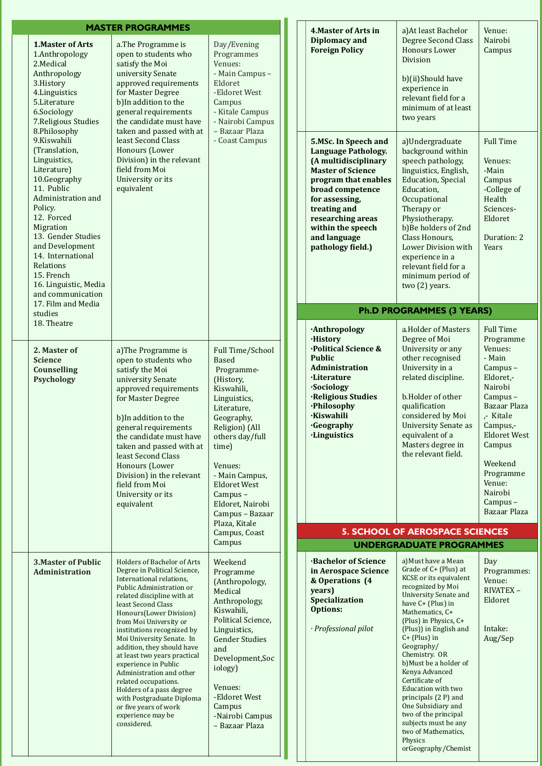|                                                                                                                                                                                                                                                                                                                    | <b>MASTER PROGRAMMES</b>                                                                                                                                                                                                                                                                                                                                                                                                                                                                                                                                       |                                                                                                                                                                                                                                                                            | <b>4. Master of Arts in</b>                                                                                                                                                                                                                                         | a) At least Bachelor                                                                                                                                                                                                                                                                                                                                                                                                                                                                                                      | Venue:                                                                                                                                                                                                                                             |
|--------------------------------------------------------------------------------------------------------------------------------------------------------------------------------------------------------------------------------------------------------------------------------------------------------------------|----------------------------------------------------------------------------------------------------------------------------------------------------------------------------------------------------------------------------------------------------------------------------------------------------------------------------------------------------------------------------------------------------------------------------------------------------------------------------------------------------------------------------------------------------------------|----------------------------------------------------------------------------------------------------------------------------------------------------------------------------------------------------------------------------------------------------------------------------|---------------------------------------------------------------------------------------------------------------------------------------------------------------------------------------------------------------------------------------------------------------------|---------------------------------------------------------------------------------------------------------------------------------------------------------------------------------------------------------------------------------------------------------------------------------------------------------------------------------------------------------------------------------------------------------------------------------------------------------------------------------------------------------------------------|----------------------------------------------------------------------------------------------------------------------------------------------------------------------------------------------------------------------------------------------------|
| <b>1.Master of Arts</b><br>1.Anthropology<br>2.Medical<br>Anthropology<br>3.History<br>4. Linguistics<br>5.Literature<br>6.Sociology<br>7. Religious Studies<br>8.Philosophy                                                                                                                                       | a.The Programme is<br>Day/Evening<br>open to students who<br>Programmes<br>satisfy the Moi<br>Venues:<br>- Main Campus -<br>university Senate<br>approved requirements<br>Eldoret<br>for Master Degree<br>-Eldoret West<br>b)In addition to the<br>Campus<br>- Kitale Campus<br>general requirements<br>the candidate must have<br>- Nairobi Campus<br>- Bazaar Plaza<br>taken and passed with at                                                                                                                                                              |                                                                                                                                                                                                                                                                            | <b>Diplomacy and</b><br><b>Foreign Policy</b>                                                                                                                                                                                                                       | Degree Second Class<br><b>Honours Lower</b><br>Division<br>b)(ii)Should have<br>experience in<br>relevant field for a<br>minimum of at least<br>two years                                                                                                                                                                                                                                                                                                                                                                 | Nairobi<br>Campus                                                                                                                                                                                                                                  |
| 9.Kiswahili<br>(Translation,<br>Linguistics,<br>Literature)<br>10.Geography<br>11. Public<br>Administration and<br>Policy.<br>12. Forced<br>Migration<br>13. Gender Studies<br>and Development<br>14. International<br>Relations<br>15. French<br>16. Linguistic, Media<br>and communication<br>17. Film and Media | least Second Class<br>Honours (Lower<br>Division) in the relevant<br>field from Moi<br>University or its<br>equivalent                                                                                                                                                                                                                                                                                                                                                                                                                                         | - Coast Campus                                                                                                                                                                                                                                                             | 5.MSc. In Speech and<br><b>Language Pathology.</b><br>(A multidisciplinary<br><b>Master of Science</b><br>program that enables<br>broad competence<br>for assessing,<br>treating and<br>researching areas<br>within the speech<br>and language<br>pathology field.) | a)Undergraduate<br>background within<br>speech pathology,<br>linguistics, English,<br><b>Education</b> , Special<br>Education,<br>Occupational<br>Therapy or<br>Physiotherapy.<br>b)Be holders of 2nd<br>Class Honours,<br>Lower Division with<br>experience in a<br>relevant field for a<br>minimum period of<br>two (2) years.                                                                                                                                                                                          | <b>Full Time</b><br>Venues:<br>-Main<br>Campus<br>-College of<br>Health<br>Sciences-<br>Eldoret<br>Duration: 2<br>Years                                                                                                                            |
| studies                                                                                                                                                                                                                                                                                                            |                                                                                                                                                                                                                                                                                                                                                                                                                                                                                                                                                                |                                                                                                                                                                                                                                                                            |                                                                                                                                                                                                                                                                     | <b>Ph.D PROGRAMMES (3 YEARS)</b>                                                                                                                                                                                                                                                                                                                                                                                                                                                                                          |                                                                                                                                                                                                                                                    |
| 18. Theatre<br>2. Master of<br><b>Science</b><br><b>Counselling</b><br><b>Psychology</b>                                                                                                                                                                                                                           | a) The Programme is<br>open to students who<br>satisfy the Moi<br>university Senate<br>approved requirements<br>for Master Degree<br>b) In addition to the<br>general requirements<br>the candidate must have<br>taken and passed with at<br>least Second Class<br>Honours (Lower<br>Division) in the relevant<br>field from Moi<br>University or its<br>equivalent                                                                                                                                                                                            | Full Time/School<br><b>Based</b><br>Programme-<br>(History,<br>Kiswahili,<br>Linguistics,<br>Literature,<br>Geography,<br>Religion) (All<br>others day/full<br>time)<br>Venues:<br>- Main Campus,<br><b>Eldoret West</b><br>Campus-<br>Eldoret, Nairobi<br>Campus - Bazaar | ·Anthropology<br><b>·History</b><br>·Political Science &<br><b>Public</b><br>Administration<br><b>Literature</b><br><b>Sociology</b><br>·Religious Studies<br>·Philosophy<br><b>Kiswahili</b><br><b>Geography</b><br><b>·Linguistics</b>                            | a.Holder of Masters<br>Degree of Moi<br>University or any<br>other recognised<br>University in a<br>related discipline.<br>b.Holder of other<br>qualification<br>considered by Moi<br>University Senate as<br>equivalent of a<br>Masters degree in<br>the relevant field.                                                                                                                                                                                                                                                 | <b>Full Time</b><br>Programme<br>Venues:<br>- Main<br>Campus-<br>Eldoret,-<br>Nairobi<br>Campus-<br>Bazaar Plaza<br>,- Kitale<br>Campus,-<br><b>Eldoret West</b><br>Campus<br>Weekend<br>Programme<br>Venue:<br>Nairobi<br>Campus-<br>Bazaar Plaza |
|                                                                                                                                                                                                                                                                                                                    |                                                                                                                                                                                                                                                                                                                                                                                                                                                                                                                                                                | Plaza, Kitale<br>Campus, Coast                                                                                                                                                                                                                                             |                                                                                                                                                                                                                                                                     | <b>5. SCHOOL OF AEROSPACE SCIENCES</b>                                                                                                                                                                                                                                                                                                                                                                                                                                                                                    |                                                                                                                                                                                                                                                    |
|                                                                                                                                                                                                                                                                                                                    |                                                                                                                                                                                                                                                                                                                                                                                                                                                                                                                                                                | Campus                                                                                                                                                                                                                                                                     |                                                                                                                                                                                                                                                                     | <b>UNDERGRADUATE PROGRAMMES</b>                                                                                                                                                                                                                                                                                                                                                                                                                                                                                           |                                                                                                                                                                                                                                                    |
| <b>3. Master of Public</b><br>Administration                                                                                                                                                                                                                                                                       | <b>Holders of Bachelor of Arts</b><br>Degree in Political Science,<br>International relations,<br>Public Administration or<br>related discipline with at<br>least Second Class<br>Honours(Lower Division)<br>from Moi University or<br>institutions recognized by<br>Moi University Senate. In<br>addition, they should have<br>at least two years practical<br>experience in Public<br>Administration and other<br>related occupations.<br>Holders of a pass degree<br>with Postgraduate Diploma<br>or five years of work<br>experience may be<br>considered. | Weekend<br>Programme<br>(Anthropology,<br>Medical<br>Anthropology,<br>Kiswahili,<br>Political Science,<br>Linguistics,<br><b>Gender Studies</b><br>and<br>Development, Soc<br>iology)<br>Venues:<br>-Eldoret West<br>Campus<br>-Nairobi Campus<br>- Bazaar Plaza           | <b>Bachelor of Science</b><br>in Aerospace Science<br>& Operations (4<br>years)<br>Specialization<br><b>Options:</b><br>· Professional pilot                                                                                                                        | a) Must have a Mean<br>Grade of C+ (Plus) at<br>KCSE or its equivalent<br>recognized by Moi<br><b>University Senate and</b><br>have C+ (Plus) in<br>Mathematics, C+<br>(Plus) in Physics, C+<br>(Plus)) in English and<br>$C+$ (Plus) in<br>Geography/<br>Chemistry. OR<br>b) Must be a holder of<br>Kenya Advanced<br>Certificate of<br><b>Education with two</b><br>principals (2 P) and<br>One Subsidiary and<br>two of the principal<br>subjects must be any<br>two of Mathematics,<br>Physics<br>orGeography/Chemist | Day<br>Programmes:<br>Venue:<br>RIVATEX-<br>Eldoret<br>Intake:<br>Aug/Sep                                                                                                                                                                          |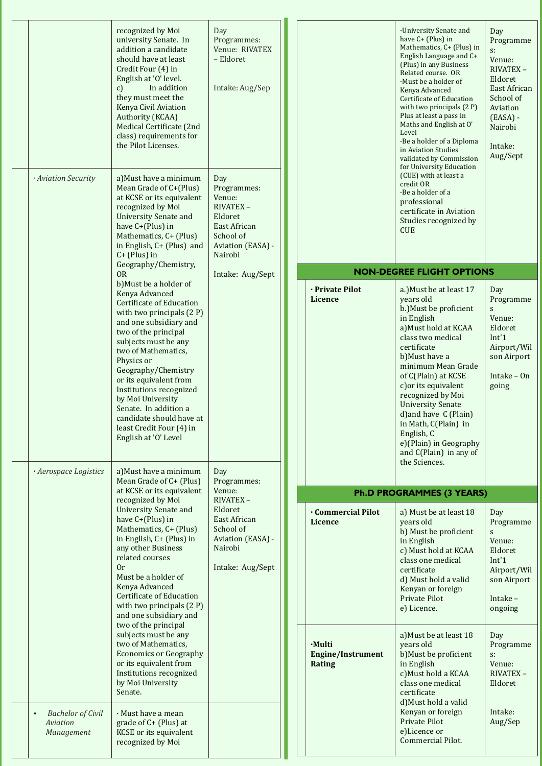|                                                                 | recognized by Moi<br>university Senate. In<br>addition a candidate<br>should have at least<br>Credit Four (4) in<br>English at 'O' level.<br>$\mathbf{c}$<br>In addition<br>they must meet the<br><b>Kenya Civil Aviation</b><br>Authority (KCAA)<br>Medical Certificate (2nd<br>class) requirements for<br>the Pilot Licenses.                                                                                                   | Day<br>Programmes:<br>Venue: RIVATEX<br>- Eldoret<br>Intake: Aug/Sep                                                     |                                              | ·University Senate and<br>have C+ (Plus) in<br>Mathematics, C+ (Plus) in<br>English Language and C+<br>(Plus) in any Business<br>Related course. OR<br>Must be a holder of<br>Kenya Advanced<br><b>Certificate of Education</b><br>with two principals (2 P)<br>Plus at least a pass in<br>Maths and English at O'<br>Level<br>·Be a holder of a Diploma<br>in Aviation Studies<br>validated by Commission<br>for University Education | Day<br>Programme<br>$S$ :<br>Venue:<br>RIVATEX-<br>Eldoret<br>East African<br>School of<br>Aviation<br>$(EASA)$ -<br>Nairobi<br>Intake:<br>Aug/Sept                                                                        |                                                                                                            |
|-----------------------------------------------------------------|-----------------------------------------------------------------------------------------------------------------------------------------------------------------------------------------------------------------------------------------------------------------------------------------------------------------------------------------------------------------------------------------------------------------------------------|--------------------------------------------------------------------------------------------------------------------------|----------------------------------------------|----------------------------------------------------------------------------------------------------------------------------------------------------------------------------------------------------------------------------------------------------------------------------------------------------------------------------------------------------------------------------------------------------------------------------------------|----------------------------------------------------------------------------------------------------------------------------------------------------------------------------------------------------------------------------|------------------------------------------------------------------------------------------------------------|
| · Aviation Security                                             | a) Must have a minimum<br>Mean Grade of C+(Plus)<br>at KCSE or its equivalent<br>recognized by Moi<br><b>University Senate and</b><br>have C+(Plus) in<br>Mathematics, C+ (Plus)<br>in English, C+ (Plus) and<br>$C+$ (Plus) in<br>Geography/Chemistry,                                                                                                                                                                           | Day<br>Programmes:<br>Venue:<br><b>RIVATEX -</b><br>Eldoret<br>East African<br>School of<br>Aviation (EASA) -<br>Nairobi |                                              | (CUE) with at least a<br>credit OR<br>·Be a holder of a<br>professional<br>certificate in Aviation<br>Studies recognized by<br><b>CUE</b><br><b>NON-DEGREE FLIGHT OPTIONS</b>                                                                                                                                                                                                                                                          |                                                                                                                                                                                                                            |                                                                                                            |
|                                                                 | 0R<br>b) Must be a holder of                                                                                                                                                                                                                                                                                                                                                                                                      | Intake: Aug/Sept                                                                                                         |                                              |                                                                                                                                                                                                                                                                                                                                                                                                                                        |                                                                                                                                                                                                                            |                                                                                                            |
| · Aerospace Logistics                                           | Kenya Advanced<br><b>Certificate of Education</b><br>with two principals (2 P)<br>and one subsidiary and<br>two of the principal<br>subjects must be any<br>two of Mathematics,<br>Physics or<br>Geography/Chemistry<br>or its equivalent from<br>Institutions recognized<br>by Moi University<br>Senate. In addition a<br>candidate should have at<br>least Credit Four (4) in<br>English at 'O' Level<br>a) Must have a minimum | Day                                                                                                                      | · Private Pilot<br><b>Licence</b>            | a.) Must be at least 17<br>years old<br>b.) Must be proficient<br>in English<br>a) Must hold at KCAA<br>class two medical<br>certificate<br>b) Must have a<br>minimum Mean Grade<br>of C(Plain) at KCSE<br>c) or its equivalent<br>recognized by Moi<br><b>University Senate</b><br>d) and have C (Plain)<br>in Math, C(Plain) in<br>English, C<br>e)(Plain) in Geography<br>and C(Plain) in any of<br>the Sciences.                   | Day<br>Programme<br>$\mathbf S$<br>Venue:<br>Eldoret<br>Int'1<br>Airport/Wil<br>son Airport<br>Intake $-$ On<br>going                                                                                                      |                                                                                                            |
|                                                                 | Mean Grade of C+ (Plus)                                                                                                                                                                                                                                                                                                                                                                                                           | Programmes:                                                                                                              |                                              |                                                                                                                                                                                                                                                                                                                                                                                                                                        |                                                                                                                                                                                                                            |                                                                                                            |
|                                                                 | at KCSE or its equivalent<br>recognized by Moi                                                                                                                                                                                                                                                                                                                                                                                    | Venue:<br>RIVATEX-                                                                                                       |                                              | <b>Ph.D PROGRAMMES (3 YEARS)</b>                                                                                                                                                                                                                                                                                                                                                                                                       |                                                                                                                                                                                                                            |                                                                                                            |
|                                                                 | <b>University Senate and</b><br>have C+(Plus) in<br>Mathematics, C+ (Plus)<br>in English, C+ (Plus) in<br>any other Business<br>related courses<br>0r<br>Must be a holder of<br>Kenya Advanced<br><b>Certificate of Education</b><br>with two principals $(2 P)$<br>and one subsidiary and                                                                                                                                        | Eldoret<br>East African<br>School of<br>Aviation (EASA) -<br>Nairobi<br>Intake: Aug/Sept                                 |                                              | <b>Commercial Pilot</b><br>Licence                                                                                                                                                                                                                                                                                                                                                                                                     | a) Must be at least 18<br>years old<br>b) Must be proficient<br>in English<br>c) Must hold at KCAA<br>class one medical<br>certificate<br>d) Must hold a valid<br>Kenyan or foreign<br><b>Private Pilot</b><br>e) Licence. | Day<br>Programme<br>S<br>Venue:<br>Eldoret<br>Int'1<br>Airport/Wil<br>son Airport<br>Intake $-$<br>ongoing |
|                                                                 | two of the principal<br>subjects must be any<br>two of Mathematics,<br><b>Economics or Geography</b><br>or its equivalent from<br>Institutions recognized<br>by Moi University<br>Senate.                                                                                                                                                                                                                                         |                                                                                                                          | ·Multi<br><b>Engine/Instrument</b><br>Rating | a) Must be at least 18<br>years old<br>b) Must be proficient<br>in English<br>c) Must hold a KCAA<br>class one medical<br>certificate<br>d) Must hold a valid                                                                                                                                                                                                                                                                          | Day<br>Programme<br>$S$ :<br>Venue:<br>RIVATEX-<br>Eldoret                                                                                                                                                                 |                                                                                                            |
| <b>Bachelor</b> of Civil<br>$\bullet$<br>Aviation<br>Management | · Must have a mean<br>grade of C+ (Plus) at<br><b>KCSE</b> or its equivalent<br>recognized by Moi                                                                                                                                                                                                                                                                                                                                 |                                                                                                                          |                                              | Kenyan or foreign<br><b>Private Pilot</b><br>e)Licence or<br>Commercial Pilot.                                                                                                                                                                                                                                                                                                                                                         | Intake:<br>Aug/Sep                                                                                                                                                                                                         |                                                                                                            |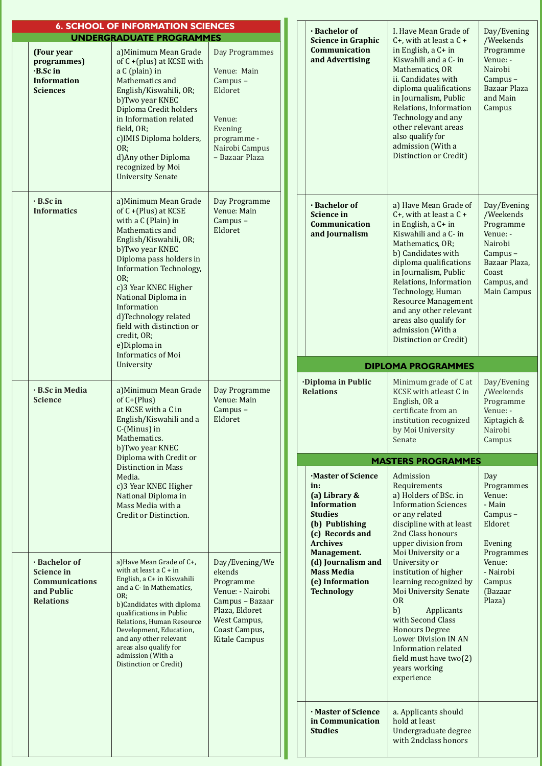|                                                                                               | <b>6. SCHOOL OF INFORMATION SCIENCES</b>                                                                                                                                                                                                                                                                                                                                                              |                                                                                                                                                         |                                                                                                                                                                                                                                                  |                                                                                                                                                  |                                                                                                                                                                                                                                                                                                                                                                                 |                                                                                                                                        |
|-----------------------------------------------------------------------------------------------|-------------------------------------------------------------------------------------------------------------------------------------------------------------------------------------------------------------------------------------------------------------------------------------------------------------------------------------------------------------------------------------------------------|---------------------------------------------------------------------------------------------------------------------------------------------------------|--------------------------------------------------------------------------------------------------------------------------------------------------------------------------------------------------------------------------------------------------|--------------------------------------------------------------------------------------------------------------------------------------------------|---------------------------------------------------------------------------------------------------------------------------------------------------------------------------------------------------------------------------------------------------------------------------------------------------------------------------------------------------------------------------------|----------------------------------------------------------------------------------------------------------------------------------------|
|                                                                                               | <b>UNDERGRADUATE PROGRAMMES</b>                                                                                                                                                                                                                                                                                                                                                                       |                                                                                                                                                         |                                                                                                                                                                                                                                                  | · Bachelor of<br><b>Science in Graphic</b>                                                                                                       | I. Have Mean Grade of<br>$C+$ , with at least a $C+$                                                                                                                                                                                                                                                                                                                            | Day/Evening<br>/Weekends                                                                                                               |
| (Four year<br>programmes)<br>$\cdot$ B.Sc in<br><b>Information</b><br><b>Sciences</b>         | a) Minimum Mean Grade<br>of C +(plus) at KCSE with<br>a C (plain) in<br>Mathematics and<br>English/Kiswahili, OR;<br>b)Two year KNEC<br>Diploma Credit holders<br>in Information related<br>field, OR;<br>c) IMIS Diploma holders,<br>OR;<br>d) Any other Diploma<br>recognized by Moi<br><b>University Senate</b>                                                                                    | Day Programmes<br>Venue: Main<br>Campus-<br>Eldoret<br>Venue:<br>Evening<br>programme -<br>Nairobi Campus<br>- Bazaar Plaza                             |                                                                                                                                                                                                                                                  | <b>Communication</b><br>and Advertising                                                                                                          | in English, a C+ in<br>Kiswahili and a C- in<br>Mathematics, OR<br>ii. Candidates with<br>diploma qualifications<br>in Journalism, Public<br>Relations, Information<br>Technology and any<br>other relevant areas<br>also qualify for<br>admission (With a<br>Distinction or Credit)                                                                                            | Programme<br>Venue: -<br>Nairobi<br>Campus-<br>Bazaar Plaza<br>and Main<br>Campus                                                      |
| · B.Sc in<br><b>Informatics</b>                                                               | a) Minimum Mean Grade<br>of C +(Plus) at KCSE<br>with a C (Plain) in<br>Mathematics and<br>English/Kiswahili, OR;<br>b)Two year KNEC<br>Diploma pass holders in<br><b>Information Technology,</b><br>OR:<br>c)3 Year KNEC Higher<br>National Diploma in<br>Information<br>d)Technology related<br>field with distinction or<br>credit, OR;<br>e)Diploma in<br><b>Informatics of Moi</b><br>University | Day Programme<br>Venue: Main<br>Campus-<br>Eldoret                                                                                                      |                                                                                                                                                                                                                                                  | · Bachelor of<br><b>Science in</b><br><b>Communication</b><br>and Journalism                                                                     | a) Have Mean Grade of<br>C+, with at least a $C +$<br>in English, a C+ in<br>Kiswahili and a C- in<br>Mathematics, OR;<br>b) Candidates with<br>diploma qualifications<br>in Journalism, Public<br>Relations, Information<br>Technology, Human<br><b>Resource Management</b><br>and any other relevant<br>areas also qualify for<br>admission (With a<br>Distinction or Credit) | Day/Evening<br>/Weekends<br>Programme<br>Venue: -<br>Nairobi<br>Campus-<br>Bazaar Plaza,<br>Coast<br>Campus, and<br><b>Main Campus</b> |
|                                                                                               |                                                                                                                                                                                                                                                                                                                                                                                                       |                                                                                                                                                         |                                                                                                                                                                                                                                                  |                                                                                                                                                  | <b>DIPLOMA PROGRAMMES</b>                                                                                                                                                                                                                                                                                                                                                       |                                                                                                                                        |
| · B.Sc in Media<br><b>Science</b>                                                             | a) Minimum Mean Grade<br>of $C+$ (Plus)<br>at KCSE with a C in<br>English/Kiswahili and a<br>C-(Minus) in<br>Mathematics.<br>b)Two year KNEC                                                                                                                                                                                                                                                          | Day Programme<br>Venue: Main<br>Campus-<br>Eldoret                                                                                                      | <b>Diploma in Public</b><br><b>Relations</b><br>in:<br>(a) Library &<br><b>Information</b><br><b>Studies</b><br>(b) Publishing<br>(c) Records and<br><b>Archives</b><br>Management.<br><b>Mass Media</b><br>(e) Information<br><b>Technology</b> | Minimum grade of C at<br>KCSE with atleast C in<br>English, OR a<br>certificate from an<br>institution recognized<br>by Moi University<br>Senate | Day/Evening<br>/Weekends<br>Programme<br>Venue: -<br>Kiptagich &<br>Nairobi<br>Campus                                                                                                                                                                                                                                                                                           |                                                                                                                                        |
|                                                                                               | Diploma with Credit or                                                                                                                                                                                                                                                                                                                                                                                |                                                                                                                                                         |                                                                                                                                                                                                                                                  |                                                                                                                                                  | <b>MASTERS PROGRAMMES</b>                                                                                                                                                                                                                                                                                                                                                       |                                                                                                                                        |
|                                                                                               | <b>Distinction in Mass</b><br>Media.<br>c)3 Year KNEC Higher<br>National Diploma in<br>Mass Media with a<br>Credit or Distinction.                                                                                                                                                                                                                                                                    |                                                                                                                                                         |                                                                                                                                                                                                                                                  | Master of Science                                                                                                                                | Admission<br>Requirements<br>a) Holders of BSc. in<br><b>Information Sciences</b><br>or any related<br>discipline with at least<br>2nd Class honours<br>upper division from<br>Moi University or a                                                                                                                                                                              | Day<br>Programmes<br>Venue:<br>- Main<br>Campus-<br>Eldoret<br>Evening<br>Programmes                                                   |
| · Bachelor of<br><b>Science in</b><br><b>Communications</b><br>and Public<br><b>Relations</b> | a) Have Mean Grade of C+,<br>with at least a $C + in$<br>English, a C+ in Kiswahili<br>and a C- in Mathematics,<br>OR;<br>b)Candidates with diploma<br>qualifications in Public<br>Relations, Human Resource<br>Development, Education,<br>and any other relevant<br>areas also qualify for<br>admission (With a<br>Distinction or Credit)                                                            | Day/Evening/We<br>ekends<br>Programme<br>Venue: - Nairobi<br>Campus - Bazaar<br>Plaza, Eldoret<br>West Campus,<br>Coast Campus,<br><b>Kitale Campus</b> |                                                                                                                                                                                                                                                  | (d) Journalism and                                                                                                                               | University or<br>institution of higher<br>learning recognized by<br><b>Moi University Senate</b><br><b>OR</b><br>b)<br>Applicants<br>with Second Class<br><b>Honours Degree</b><br><b>Lower Division IN AN</b><br>Information related<br>field must have two(2)<br>years working<br>experience                                                                                  | Venue:<br>- Nairobi<br>Campus<br>(Bazaar<br>Plaza)                                                                                     |
|                                                                                               |                                                                                                                                                                                                                                                                                                                                                                                                       |                                                                                                                                                         |                                                                                                                                                                                                                                                  | · Master of Science<br>in Communication<br><b>Studies</b>                                                                                        | a. Applicants should<br>hold at least<br>Undergraduate degree<br>with 2ndclass honors                                                                                                                                                                                                                                                                                           |                                                                                                                                        |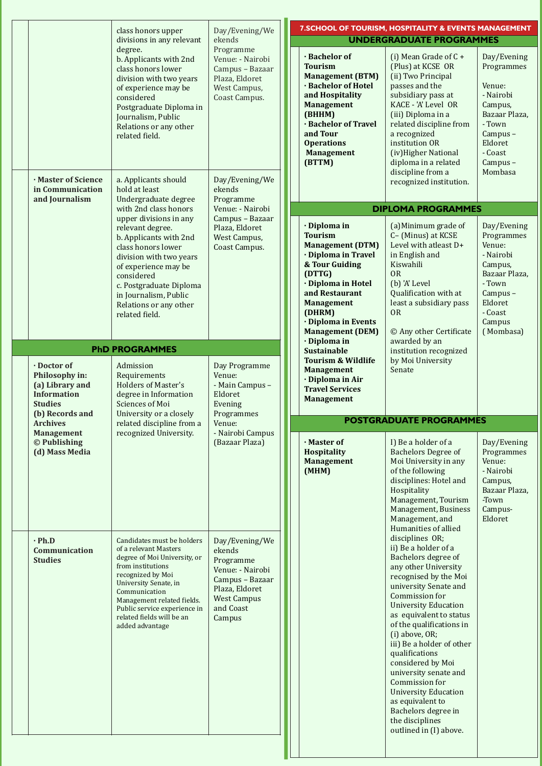|                                                                                                             |                                                                                                                                                                                                                                                                                       |                                                                                                                                             |                                                                                                                                                                                                                                                       | 7. SCHOOL OF TOURISM, HOSPITALITY & EVENTS MANAGEMENT                                                                                                                                                                                                                                                                                                                                                                                                                                                    |                                                                                                                                                |
|-------------------------------------------------------------------------------------------------------------|---------------------------------------------------------------------------------------------------------------------------------------------------------------------------------------------------------------------------------------------------------------------------------------|---------------------------------------------------------------------------------------------------------------------------------------------|-------------------------------------------------------------------------------------------------------------------------------------------------------------------------------------------------------------------------------------------------------|----------------------------------------------------------------------------------------------------------------------------------------------------------------------------------------------------------------------------------------------------------------------------------------------------------------------------------------------------------------------------------------------------------------------------------------------------------------------------------------------------------|------------------------------------------------------------------------------------------------------------------------------------------------|
|                                                                                                             | class honors upper<br>divisions in any relevant                                                                                                                                                                                                                                       | Day/Evening/We<br>ekends                                                                                                                    |                                                                                                                                                                                                                                                       | <b>UNDERGRADUATE PROGRAMMES</b>                                                                                                                                                                                                                                                                                                                                                                                                                                                                          |                                                                                                                                                |
|                                                                                                             | degree.<br>b. Applicants with 2nd<br>class honors lower<br>division with two years<br>of experience may be<br>considered<br>Postgraduate Diploma in<br>Journalism, Public<br>Relations or any other<br>related field.                                                                 | Programme<br>Venue: - Nairobi<br>Campus - Bazaar<br>Plaza, Eldoret<br>West Campus,<br>Coast Campus.                                         | · Bachelor of<br><b>Tourism</b><br><b>Management (BTM)</b><br>· Bachelor of Hotel<br>and Hospitality<br><b>Management</b><br>(BHHM)<br>· Bachelor of Travel<br>and Tour<br><b>Operations</b><br><b>Management</b><br>(BTTM)                           | (i) Mean Grade of $C +$<br>(Plus) at KCSE OR<br>(ii) Two Principal<br>passes and the<br>subsidiary pass at<br>KACE - 'A' Level OR<br>(iii) Diploma in a<br>related discipline from<br>a recognized<br>institution OR<br>(iv) Higher National<br>diploma in a related                                                                                                                                                                                                                                     | Day/Evening<br>Programmes<br>Venue:<br>- Nairobi<br>Campus,<br>Bazaar Plaza,<br>- Town<br>Campus-<br>Eldoret<br>- Coast<br>Campus-             |
| · Master of Science<br>in Communication<br>and Journalism                                                   | a. Applicants should<br>hold at least<br>Undergraduate degree                                                                                                                                                                                                                         | Day/Evening/We<br>ekends<br>Programme                                                                                                       |                                                                                                                                                                                                                                                       | discipline from a<br>recognized institution.                                                                                                                                                                                                                                                                                                                                                                                                                                                             | Mombasa                                                                                                                                        |
|                                                                                                             | with 2nd class honors                                                                                                                                                                                                                                                                 | Venue: - Nairobi                                                                                                                            |                                                                                                                                                                                                                                                       | <b>DIPLOMA PROGRAMMES</b>                                                                                                                                                                                                                                                                                                                                                                                                                                                                                |                                                                                                                                                |
|                                                                                                             | upper divisions in any<br>relevant degree.<br>b. Applicants with 2nd<br>class honors lower<br>division with two years<br>of experience may be<br>considered<br>c. Postgraduate Diploma<br>in Journalism, Public<br>Relations or any other<br>related field.                           | Campus - Bazaar<br>Plaza, Eldoret<br>West Campus,<br>Coast Campus.                                                                          | · Diploma in<br><b>Tourism</b><br><b>Management (DTM)</b><br>· Diploma in Travel<br>& Tour Guiding<br>(DTTG)<br>· Diploma in Hotel<br>and Restaurant<br><b>Management</b><br>(DHRM)<br>· Diploma in Events<br><b>Management (DEM)</b><br>· Diploma in | (a) Minimum grade of<br>C- (Minus) at KCSE<br>Level with atleast D+<br>in English and<br>Kiswahili<br><b>OR</b><br>(b) 'A' Level<br>Qualification with at<br>least a subsidiary pass<br>0 <sub>R</sub><br>© Any other Certificate<br>awarded by an                                                                                                                                                                                                                                                       | Day/Evening<br>Programmes<br>Venue:<br>- Nairobi<br>Campus,<br>Bazaar Plaza,<br>- Town<br>Campus-<br>Eldoret<br>- Coast<br>Campus<br>(Mombasa) |
|                                                                                                             | <b>PhD PROGRAMMES</b>                                                                                                                                                                                                                                                                 |                                                                                                                                             | <b>Sustainable</b>                                                                                                                                                                                                                                    | institution recognized                                                                                                                                                                                                                                                                                                                                                                                                                                                                                   |                                                                                                                                                |
| · Doctor of<br>Philosophy in:<br>(a) Library and<br><b>Information</b><br><b>Studies</b><br>(b) Records and | Admission<br>Requirements<br><b>Holders of Master's</b><br>degree in Information<br><b>Sciences of Moi</b><br>University or a closely                                                                                                                                                 | Day Programme<br>Venue:<br>- Main Campus -<br>Eldoret<br>Evening<br>Programmes                                                              | <b>Tourism &amp; Wildlife</b><br><b>Management</b><br>· Diploma in Air<br><b>Travel Services</b><br><b>Management</b>                                                                                                                                 | by Moi University<br>Senate                                                                                                                                                                                                                                                                                                                                                                                                                                                                              |                                                                                                                                                |
| <b>Archives</b>                                                                                             | related discipline from a                                                                                                                                                                                                                                                             | Venue:                                                                                                                                      |                                                                                                                                                                                                                                                       | <b>POSTGRADUATE PROGRAMMES</b>                                                                                                                                                                                                                                                                                                                                                                                                                                                                           |                                                                                                                                                |
| <b>Management</b><br>© Publishing<br>(d) Mass Media                                                         | recognized University.                                                                                                                                                                                                                                                                | - Nairobi Campus<br>(Bazaar Plaza)                                                                                                          | · Master of<br>Hospitality<br><b>Management</b><br>(MHM)                                                                                                                                                                                              | I) Be a holder of a<br><b>Bachelors Degree of</b><br>Moi University in any<br>of the following<br>disciplines: Hotel and<br>Hospitality<br>Management, Tourism<br>Management, Business<br>Management, and<br>Humanities of allied                                                                                                                                                                                                                                                                        | Day/Evening<br>Programmes<br>Venue:<br>- Nairobi<br>Campus,<br>Bazaar Plaza,<br>-Town<br>Campus-<br>Eldoret                                    |
| $\cdot$ Ph.D<br><b>Communication</b><br><b>Studies</b>                                                      | Candidates must be holders<br>of a relevant Masters<br>degree of Moi University, or<br>from institutions<br>recognized by Moi<br>University Senate, in<br>Communication<br>Management related fields.<br>Public service experience in<br>related fields will be an<br>added advantage | Day/Evening/We<br>ekends<br>Programme<br>Venue: - Nairobi<br>Campus - Bazaar<br>Plaza, Eldoret<br><b>West Campus</b><br>and Coast<br>Campus |                                                                                                                                                                                                                                                       | disciplines OR;<br>ii) Be a holder of a<br>Bachelors degree of<br>any other University<br>recognised by the Moi<br>university Senate and<br>Commission for<br><b>University Education</b><br>as equivalent to status<br>of the qualifications in<br>(i) above, OR;<br>iii) Be a holder of other<br>qualifications<br>considered by Moi<br>university senate and<br>Commission for<br><b>University Education</b><br>as equivalent to<br>Bachelors degree in<br>the disciplines<br>outlined in (I) above. |                                                                                                                                                |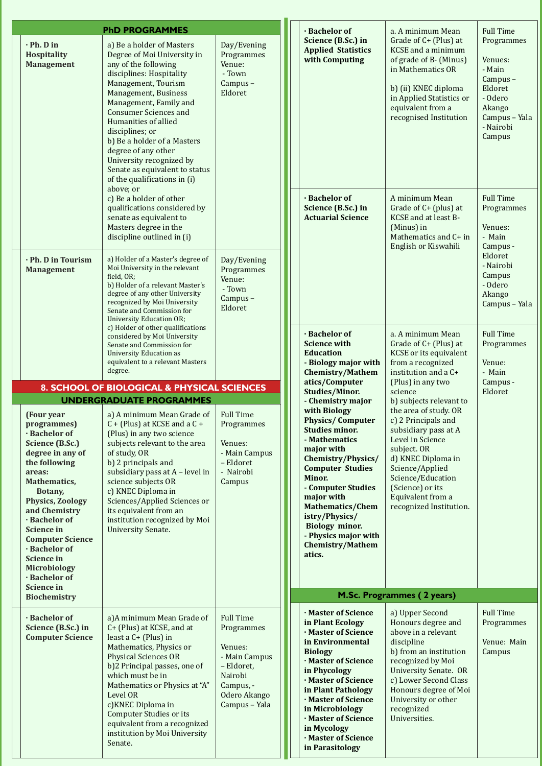| <b>PhD PROGRAMMES</b>                                                                                                                                                                                                                                                                                                                                    |                                                                                                                                                                                                                                                                                                                                                                                                                                   |                                                                                                                                   |  |  | · Bachelor of                                                                                                                                                                                                                                                                                                                                          | a. A minimum Mean                                                                                                                                                                                                                                                    |  |  |
|----------------------------------------------------------------------------------------------------------------------------------------------------------------------------------------------------------------------------------------------------------------------------------------------------------------------------------------------------------|-----------------------------------------------------------------------------------------------------------------------------------------------------------------------------------------------------------------------------------------------------------------------------------------------------------------------------------------------------------------------------------------------------------------------------------|-----------------------------------------------------------------------------------------------------------------------------------|--|--|--------------------------------------------------------------------------------------------------------------------------------------------------------------------------------------------------------------------------------------------------------------------------------------------------------------------------------------------------------|----------------------------------------------------------------------------------------------------------------------------------------------------------------------------------------------------------------------------------------------------------------------|--|--|
| $\cdot$ Ph. D in<br>Hospitality<br><b>Management</b>                                                                                                                                                                                                                                                                                                     | a) Be a holder of Masters<br>Degree of Moi University in<br>any of the following<br>disciplines: Hospitality<br>Management, Tourism<br>Management, Business<br>Management, Family and<br><b>Consumer Sciences and</b><br>Humanities of allied<br>disciplines; or<br>b) Be a holder of a Masters<br>degree of any other<br>University recognized by<br>Senate as equivalent to status<br>of the qualifications in (i)<br>above; or | Day/Evening<br>Programmes<br>Venue:<br>- Town<br>Campus-<br>Eldoret                                                               |  |  | Science (B.Sc.) in<br><b>Applied Statistics</b><br>with Computing                                                                                                                                                                                                                                                                                      | Grade of C+ (Plus) at<br><b>KCSE</b> and a minimum<br>of grade of B- (Minus)<br>in Mathematics OR<br>b) (ii) KNEC diploma<br>in Applied Statistics or<br>equivalent from a<br>recognised Institution                                                                 |  |  |
|                                                                                                                                                                                                                                                                                                                                                          | c) Be a holder of other<br>qualifications considered by<br>senate as equivalent to<br>Masters degree in the<br>discipline outlined in (i)                                                                                                                                                                                                                                                                                         |                                                                                                                                   |  |  | · Bachelor of<br>Science (B.Sc.) in<br><b>Actuarial Science</b>                                                                                                                                                                                                                                                                                        | A minimum Mean<br>Grade of C+ (plus) at<br>KCSE and at least B-<br>(Minus) in<br>Mathematics and C+ in<br>English or Kiswahili                                                                                                                                       |  |  |
| · Ph. D in Tourism<br><b>Management</b>                                                                                                                                                                                                                                                                                                                  | a) Holder of a Master's degree of<br>Moi University in the relevant<br>field, OR;<br>b) Holder of a relevant Master's<br>degree of any other University<br>recognized by Moi University<br>Senate and Commission for<br><b>University Education OR;</b><br>c) Holder of other qualifications                                                                                                                                      | Day/Evening<br>Programmes<br>Venue:<br>- Town<br>Campus-<br>Eldoret                                                               |  |  |                                                                                                                                                                                                                                                                                                                                                        |                                                                                                                                                                                                                                                                      |  |  |
|                                                                                                                                                                                                                                                                                                                                                          | considered by Moi University<br>Senate and Commission for<br><b>University Education as</b><br>equivalent to a relevant Masters<br>degree.                                                                                                                                                                                                                                                                                        |                                                                                                                                   |  |  | · Bachelor of<br><b>Science with</b><br><b>Education</b><br>- Biology major with<br>Chemistry/Mathem                                                                                                                                                                                                                                                   | a. A minimum Mean<br>Grade of C+ (Plus) at<br>KCSE or its equivalent<br>from a recognized<br>institution and a C+                                                                                                                                                    |  |  |
| 8. SCHOOL OF BIOLOGICAL & PHYSICAL SCIENCES                                                                                                                                                                                                                                                                                                              |                                                                                                                                                                                                                                                                                                                                                                                                                                   |                                                                                                                                   |  |  | atics/Computer<br><b>Studies/Minor.</b>                                                                                                                                                                                                                                                                                                                | (Plus) in any two<br>science                                                                                                                                                                                                                                         |  |  |
| (Four year)<br>programmes)<br>· Bachelor of<br>Science (B.Sc.)<br>degree in any of<br>the following<br>areas:<br>Mathematics,<br>Botany,<br><b>Physics, Zoology</b><br>and Chemistry<br>· Bachelor of<br><b>Science in</b><br><b>Computer Science</b><br>· Bachelor of<br><b>Science in</b><br><b>Microbiology</b><br>· Bachelor of<br><b>Science in</b> | <b>UNDERGRADUATE PROGRAMMES</b><br>a) A minimum Mean Grade of<br>$C + (Plus)$ at KCSE and a $C +$<br>(Plus) in any two science<br>subjects relevant to the area<br>of study, OR<br>b) 2 principals and<br>subsidiary pass at A - level in<br>science subjects OR<br>c) KNEC Diploma in<br>Sciences/Applied Sciences or<br>its equivalent from an<br>institution recognized by Moi<br>University Senate.                           | <b>Full Time</b><br>Programmes<br>Venues:<br>- Main Campus<br>- Eldoret<br>- Nairobi<br>Campus                                    |  |  | - Chemistry major<br>with Biology<br><b>Physics/Computer</b><br><b>Studies minor.</b><br>- Mathematics<br>major with<br>Chemistry/Physics/<br><b>Computer Studies</b><br>Minor.<br>- Computer Studies<br>major with<br><b>Mathematics/Chem</b><br>istry/Physics/<br><b>Biology minor.</b><br>- Physics major with<br><b>Chemistry/Mathem</b><br>atics. | b) subjects relevant to<br>the area of study. OR<br>c) 2 Principals and<br>subsidiary pass at A<br>Level in Science<br>subject. OR<br>d) KNEC Diploma in<br>Science/Applied<br>Science/Education<br>(Science) or its<br>Equivalent from a<br>recognized Institution. |  |  |
| <b>Biochemistry</b>                                                                                                                                                                                                                                                                                                                                      |                                                                                                                                                                                                                                                                                                                                                                                                                                   |                                                                                                                                   |  |  |                                                                                                                                                                                                                                                                                                                                                        | M.Sc. Programmes (2 years)                                                                                                                                                                                                                                           |  |  |
| · Bachelor of<br>Science (B.Sc.) in<br><b>Computer Science</b>                                                                                                                                                                                                                                                                                           | a)A minimum Mean Grade of<br>C+ (Plus) at KCSE, and at<br>least a C+ (Plus) in<br>Mathematics, Physics or<br><b>Physical Sciences OR</b><br>b)2 Principal passes, one of<br>which must be in<br>Mathematics or Physics at "A"<br>Level OR<br>c) KNEC Diploma in<br><b>Computer Studies or its</b><br>equivalent from a recognized<br>institution by Moi University<br>Senate.                                                     | <b>Full Time</b><br>Programmes<br>Venues:<br>- Main Campus<br>- Eldoret,<br>Nairobi<br>Campus, -<br>Odero Akango<br>Campus - Yala |  |  | · Master of Science<br>in Plant Ecology<br>· Master of Science<br>in Environmental<br><b>Biology</b><br>· Master of Science<br>in Phycology<br>· Master of Science<br>in Plant Pathology<br>· Master of Science<br>in Microbiology<br>· Master of Science<br>in Mycology<br>· Master of Science<br>in Parasitology                                     | a) Upper Second<br>Honours degree and<br>above in a relevant<br>discipline<br>b) from an institution<br>recognized by Moi<br><b>University Senate. OR</b><br>c) Lower Second Class<br>Honours degree of Moi<br>University or other<br>recognized<br>Universities.    |  |  |

Eldoret - Nairobi Campus - Odero Akango Campus - Yala Mean  $\ln s$ ) at ivalent zed a C+  $N<sub>0</sub>$ evant to  $dy$ . OR and s at  $A$ ma in  $\mathbf{c}$ ition  $m a$ titution. Full Time Programmes Venue: - Main Campus -Eldoret  $d$  $ee$  and vant itution Moi ate. OR d Class e of Moi ther Full Time Programmes Venue: Main Campus ars)

Full Time Programmes

Venues: - Main Campus -Eldoret - Odero Akango Campus – Yala - Nairobi Campus

Full Time Programmes

Venues: - Main Campus -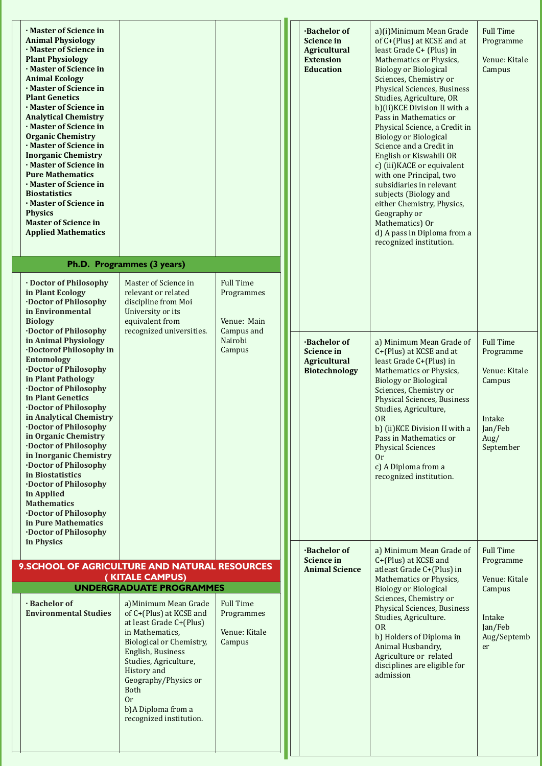| · Master of Science in<br><b>Animal Physiology</b><br>· Master of Science in<br><b>Plant Physiology</b><br>Master of Science in<br><b>Animal Ecology</b><br>· Master of Science in<br><b>Plant Genetics</b><br>Master of Science in<br><b>Analytical Chemistry</b><br>· Master of Science in<br><b>Organic Chemistry</b><br>Master of Science in<br><b>Inorganic Chemistry</b><br>Master of Science in<br><b>Pure Mathematics</b><br>· Master of Science in<br><b>Biostatistics</b><br>· Master of Science in<br><b>Physics</b><br><b>Master of Science in</b><br><b>Applied Mathematics</b> | Ph.D. Programmes (3 years)                         |                                | <b>Bachelor of</b><br><b>Science in</b><br><b>Agricultural</b><br><b>Extension</b><br><b>Education</b> | a)(i)Minimum Mean Grade<br>of C+(Plus) at KCSE and at<br>least Grade C+ (Plus) in<br>Mathematics or Physics,<br><b>Biology or Biological</b><br>Sciences, Chemistry or<br><b>Physical Sciences, Business</b><br>Studies, Agriculture, OR<br>b)(ii)KCE Division II with a<br>Pass in Mathematics or<br>Physical Science, a Credit in<br><b>Biology or Biological</b><br>Science and a Credit in<br>English or Kiswahili OR<br>c) (iii) KACE or equivalent<br>with one Principal, two<br>subsidiaries in relevant<br>subjects (Biology and<br>either Chemistry, Physics,<br>Geography or<br>Mathematics) Or<br>d) A pass in Diploma from a<br>recognized institution. | <b>Full Time</b><br>Programme<br>Venue: Kitale<br>Campus |
|----------------------------------------------------------------------------------------------------------------------------------------------------------------------------------------------------------------------------------------------------------------------------------------------------------------------------------------------------------------------------------------------------------------------------------------------------------------------------------------------------------------------------------------------------------------------------------------------|----------------------------------------------------|--------------------------------|--------------------------------------------------------------------------------------------------------|---------------------------------------------------------------------------------------------------------------------------------------------------------------------------------------------------------------------------------------------------------------------------------------------------------------------------------------------------------------------------------------------------------------------------------------------------------------------------------------------------------------------------------------------------------------------------------------------------------------------------------------------------------------------|----------------------------------------------------------|
| · Doctor of Philosophy                                                                                                                                                                                                                                                                                                                                                                                                                                                                                                                                                                       | Master of Science in                               | <b>Full Time</b>               |                                                                                                        |                                                                                                                                                                                                                                                                                                                                                                                                                                                                                                                                                                                                                                                                     |                                                          |
| in Plant Ecology<br><b>Doctor of Philosophy</b>                                                                                                                                                                                                                                                                                                                                                                                                                                                                                                                                              | relevant or related                                | Programmes                     |                                                                                                        |                                                                                                                                                                                                                                                                                                                                                                                                                                                                                                                                                                                                                                                                     |                                                          |
| in Environmental                                                                                                                                                                                                                                                                                                                                                                                                                                                                                                                                                                             | discipline from Moi<br>University or its           |                                |                                                                                                        |                                                                                                                                                                                                                                                                                                                                                                                                                                                                                                                                                                                                                                                                     |                                                          |
| <b>Biology</b><br><b>.Doctor of Philosophy</b>                                                                                                                                                                                                                                                                                                                                                                                                                                                                                                                                               | equivalent from<br>recognized universities.        | Venue: Main<br>Campus and      |                                                                                                        |                                                                                                                                                                                                                                                                                                                                                                                                                                                                                                                                                                                                                                                                     |                                                          |
| in Animal Physiology                                                                                                                                                                                                                                                                                                                                                                                                                                                                                                                                                                         |                                                    | Nairobi                        | <b>Bachelor of</b>                                                                                     | a) Minimum Mean Grade of                                                                                                                                                                                                                                                                                                                                                                                                                                                                                                                                                                                                                                            | <b>Full Time</b>                                         |
| <b>Doctorof Philosophy in</b><br><b>Entomology</b>                                                                                                                                                                                                                                                                                                                                                                                                                                                                                                                                           |                                                    | Campus                         | <b>Science in</b><br><b>Agricultural</b>                                                               | C+(Plus) at KCSE and at<br>least Grade C+(Plus) in                                                                                                                                                                                                                                                                                                                                                                                                                                                                                                                                                                                                                  | Programme                                                |
| <b>Doctor of Philosophy</b><br>in Plant Pathology                                                                                                                                                                                                                                                                                                                                                                                                                                                                                                                                            |                                                    |                                | <b>Biotechnology</b>                                                                                   | Mathematics or Physics,                                                                                                                                                                                                                                                                                                                                                                                                                                                                                                                                                                                                                                             | Venue: Kitale                                            |
| <b>Doctor of Philosophy</b>                                                                                                                                                                                                                                                                                                                                                                                                                                                                                                                                                                  |                                                    |                                |                                                                                                        | <b>Biology or Biological</b><br>Sciences, Chemistry or                                                                                                                                                                                                                                                                                                                                                                                                                                                                                                                                                                                                              | Campus                                                   |
| in Plant Genetics<br><b>.Doctor of Philosophy</b>                                                                                                                                                                                                                                                                                                                                                                                                                                                                                                                                            |                                                    |                                |                                                                                                        | <b>Physical Sciences, Business</b><br>Studies, Agriculture,                                                                                                                                                                                                                                                                                                                                                                                                                                                                                                                                                                                                         |                                                          |
| in Analytical Chemistry                                                                                                                                                                                                                                                                                                                                                                                                                                                                                                                                                                      |                                                    |                                |                                                                                                        | <b>OR</b>                                                                                                                                                                                                                                                                                                                                                                                                                                                                                                                                                                                                                                                           | Intake                                                   |
| <b>Doctor of Philosophy</b><br>in Organic Chemistry                                                                                                                                                                                                                                                                                                                                                                                                                                                                                                                                          |                                                    |                                |                                                                                                        | b) (ii) KCE Division II with a<br>Pass in Mathematics or                                                                                                                                                                                                                                                                                                                                                                                                                                                                                                                                                                                                            | Jan/Feb<br>Aug/                                          |
| <b>Doctor of Philosophy</b><br>in Inorganic Chemistry                                                                                                                                                                                                                                                                                                                                                                                                                                                                                                                                        |                                                    |                                |                                                                                                        | <b>Physical Sciences</b><br>0r                                                                                                                                                                                                                                                                                                                                                                                                                                                                                                                                                                                                                                      | September                                                |
| <b>Doctor of Philosophy</b>                                                                                                                                                                                                                                                                                                                                                                                                                                                                                                                                                                  |                                                    |                                |                                                                                                        | c) A Diploma from a                                                                                                                                                                                                                                                                                                                                                                                                                                                                                                                                                                                                                                                 |                                                          |
| in Biostatistics<br><b>Doctor of Philosophy</b>                                                                                                                                                                                                                                                                                                                                                                                                                                                                                                                                              |                                                    |                                |                                                                                                        | recognized institution.                                                                                                                                                                                                                                                                                                                                                                                                                                                                                                                                                                                                                                             |                                                          |
| in Applied<br><b>Mathematics</b>                                                                                                                                                                                                                                                                                                                                                                                                                                                                                                                                                             |                                                    |                                |                                                                                                        |                                                                                                                                                                                                                                                                                                                                                                                                                                                                                                                                                                                                                                                                     |                                                          |
| <b>Doctor of Philosophy</b>                                                                                                                                                                                                                                                                                                                                                                                                                                                                                                                                                                  |                                                    |                                |                                                                                                        |                                                                                                                                                                                                                                                                                                                                                                                                                                                                                                                                                                                                                                                                     |                                                          |
| in Pure Mathematics<br><b>Doctor of Philosophy</b>                                                                                                                                                                                                                                                                                                                                                                                                                                                                                                                                           |                                                    |                                |                                                                                                        |                                                                                                                                                                                                                                                                                                                                                                                                                                                                                                                                                                                                                                                                     |                                                          |
| in Physics                                                                                                                                                                                                                                                                                                                                                                                                                                                                                                                                                                                   |                                                    |                                | <b>Bachelor of</b>                                                                                     | a) Minimum Mean Grade of                                                                                                                                                                                                                                                                                                                                                                                                                                                                                                                                                                                                                                            | <b>Full Time</b>                                         |
| 9. SCHOOL OF AGRICULTURE AND NATURAL RESOURCES                                                                                                                                                                                                                                                                                                                                                                                                                                                                                                                                               |                                                    |                                | <b>Science in</b>                                                                                      | C+(Plus) at KCSE and                                                                                                                                                                                                                                                                                                                                                                                                                                                                                                                                                                                                                                                | Programme                                                |
|                                                                                                                                                                                                                                                                                                                                                                                                                                                                                                                                                                                              | (KITALE CAMPUS)                                    |                                | <b>Animal Science</b>                                                                                  | atleast Grade C+(Plus) in<br>Mathematics or Physics,                                                                                                                                                                                                                                                                                                                                                                                                                                                                                                                                                                                                                | Venue: Kitale                                            |
|                                                                                                                                                                                                                                                                                                                                                                                                                                                                                                                                                                                              | <b>UNDERGRADUATE PROGRAMMES</b>                    |                                |                                                                                                        | <b>Biology or Biological</b><br>Sciences, Chemistry or                                                                                                                                                                                                                                                                                                                                                                                                                                                                                                                                                                                                              | Campus                                                   |
| · Bachelor of<br><b>Environmental Studies</b>                                                                                                                                                                                                                                                                                                                                                                                                                                                                                                                                                | a) Minimum Mean Grade<br>of C+(Plus) at KCSE and   | <b>Full Time</b><br>Programmes |                                                                                                        | <b>Physical Sciences, Business</b>                                                                                                                                                                                                                                                                                                                                                                                                                                                                                                                                                                                                                                  |                                                          |
|                                                                                                                                                                                                                                                                                                                                                                                                                                                                                                                                                                                              | at least Grade C+(Plus)                            |                                |                                                                                                        | Studies, Agriculture.<br><b>OR</b>                                                                                                                                                                                                                                                                                                                                                                                                                                                                                                                                                                                                                                  | Intake<br>Jan/Feb                                        |
|                                                                                                                                                                                                                                                                                                                                                                                                                                                                                                                                                                                              | in Mathematics,<br><b>Biological or Chemistry,</b> | Venue: Kitale<br>Campus        |                                                                                                        | b) Holders of Diploma in                                                                                                                                                                                                                                                                                                                                                                                                                                                                                                                                                                                                                                            | Aug/Septemb                                              |
|                                                                                                                                                                                                                                                                                                                                                                                                                                                                                                                                                                                              | English, Business                                  |                                |                                                                                                        | Animal Husbandry,<br>Agriculture or related                                                                                                                                                                                                                                                                                                                                                                                                                                                                                                                                                                                                                         | er                                                       |
|                                                                                                                                                                                                                                                                                                                                                                                                                                                                                                                                                                                              | Studies, Agriculture,<br>History and               |                                |                                                                                                        | disciplines are eligible for                                                                                                                                                                                                                                                                                                                                                                                                                                                                                                                                                                                                                                        |                                                          |
|                                                                                                                                                                                                                                                                                                                                                                                                                                                                                                                                                                                              | Geography/Physics or                               |                                |                                                                                                        | admission                                                                                                                                                                                                                                                                                                                                                                                                                                                                                                                                                                                                                                                           |                                                          |
|                                                                                                                                                                                                                                                                                                                                                                                                                                                                                                                                                                                              | Both<br><b>Or</b>                                  |                                |                                                                                                        |                                                                                                                                                                                                                                                                                                                                                                                                                                                                                                                                                                                                                                                                     |                                                          |
|                                                                                                                                                                                                                                                                                                                                                                                                                                                                                                                                                                                              | b)A Diploma from a<br>recognized institution.      |                                |                                                                                                        |                                                                                                                                                                                                                                                                                                                                                                                                                                                                                                                                                                                                                                                                     |                                                          |
|                                                                                                                                                                                                                                                                                                                                                                                                                                                                                                                                                                                              |                                                    |                                |                                                                                                        |                                                                                                                                                                                                                                                                                                                                                                                                                                                                                                                                                                                                                                                                     |                                                          |
|                                                                                                                                                                                                                                                                                                                                                                                                                                                                                                                                                                                              |                                                    |                                |                                                                                                        |                                                                                                                                                                                                                                                                                                                                                                                                                                                                                                                                                                                                                                                                     |                                                          |
|                                                                                                                                                                                                                                                                                                                                                                                                                                                                                                                                                                                              |                                                    |                                |                                                                                                        |                                                                                                                                                                                                                                                                                                                                                                                                                                                                                                                                                                                                                                                                     |                                                          |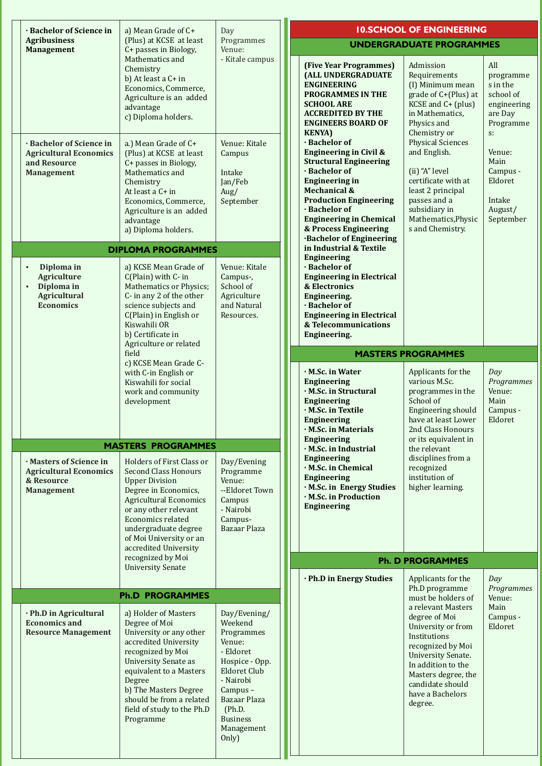| · Bachelor of Science in                                                                                            | a) Mean Grade of C+                                                                                                                                                                                                                                                                | Day                                                                                                                                                                                               |                           |                                                                                                                                                                                                                                                                                              | <b>10.SCHOOL OF ENGINEERING</b>                                                                                                                                                                                                                           |                                                                                                                                                                      |  |  |
|---------------------------------------------------------------------------------------------------------------------|------------------------------------------------------------------------------------------------------------------------------------------------------------------------------------------------------------------------------------------------------------------------------------|---------------------------------------------------------------------------------------------------------------------------------------------------------------------------------------------------|---------------------------|----------------------------------------------------------------------------------------------------------------------------------------------------------------------------------------------------------------------------------------------------------------------------------------------|-----------------------------------------------------------------------------------------------------------------------------------------------------------------------------------------------------------------------------------------------------------|----------------------------------------------------------------------------------------------------------------------------------------------------------------------|--|--|
| <b>Agribusiness</b><br><b>Management</b>                                                                            | (Plus) at KCSE at least<br>C+ passes in Biology,                                                                                                                                                                                                                                   | Programmes<br>Venue:                                                                                                                                                                              |                           |                                                                                                                                                                                                                                                                                              | <b>UNDERGRADUATE PROGRAMMES</b>                                                                                                                                                                                                                           |                                                                                                                                                                      |  |  |
|                                                                                                                     | Mathematics and<br>Chemistry<br>b) At least a C+ in<br>Economics, Commerce,<br>Agriculture is an added<br>advantage<br>c) Diploma holders.                                                                                                                                         | - Kitale campus                                                                                                                                                                                   |                           | (Five Year Programmes)<br>(ALL UNDERGRADUATE<br><b>ENGINEERING</b><br><b>PROGRAMMES IN THE</b><br><b>SCHOOL ARE</b><br><b>ACCREDITED BY THE</b><br><b>ENGINEERS BOARD OF</b><br><b>KENYA</b> )                                                                                               | Admission<br>Requirements<br>(I) Minimum mean<br>grade of C+(Plus) at<br>KCSE and C+ (plus)<br>in Mathematics.<br>Physics and<br>Chemistry or                                                                                                             | All<br>programme<br>s in the<br>school of<br>engineering<br>are Day<br>Programme<br>$S^*$<br>Venue:<br>Main<br>Campus -<br>Eldoret<br>Intake<br>August/<br>September |  |  |
| · Bachelor of Science in<br><b>Agricultural Economics</b><br>and Resource<br><b>Management</b>                      | a.) Mean Grade of C+<br>(Plus) at KCSE at least<br>C+ passes in Biology,<br>Mathematics and<br>Chemistry<br>At least a C+ in<br>Economics, Commerce,<br>Agriculture is an added<br>advantage<br>a) Diploma holders.                                                                | Venue: Kitale<br>Campus<br>Intake<br>Jan/Feb<br>Aug/<br>September                                                                                                                                 |                           | · Bachelor of<br><b>Engineering in Civil &amp;</b><br><b>Structural Engineering</b><br>· Bachelor of<br><b>Engineering in</b><br>Mechanical &<br><b>Production Engineering</b><br>· Bachelor of<br><b>Engineering in Chemical</b><br>& Process Engineering<br><b>Bachelor of Engineering</b> | <b>Physical Sciences</b><br>and English.<br>(ii) "A" level<br>certificate with at<br>least 2 principal<br>passes and a<br>subsidiary in<br>Mathematics, Physic<br>s and Chemistry.                                                                        |                                                                                                                                                                      |  |  |
|                                                                                                                     | <b>DIPLOMA PROGRAMMES</b>                                                                                                                                                                                                                                                          |                                                                                                                                                                                                   |                           | in Industrial & Textile<br><b>Engineering</b>                                                                                                                                                                                                                                                |                                                                                                                                                                                                                                                           |                                                                                                                                                                      |  |  |
| Diploma in<br>$\bullet$<br><b>Agriculture</b><br>Diploma in<br>$\bullet$<br><b>Agricultural</b><br><b>Economics</b> | a) KCSE Mean Grade of<br>C(Plain) with C- in<br><b>Mathematics or Physics;</b><br>C- in any 2 of the other<br>science subjects and<br>C(Plain) in English or<br>Kiswahili OR<br>b) Certificate in<br>Agriculture or related                                                        | Venue: Kitale<br>Campus-,<br>School of<br>Agriculture<br>and Natural<br>Resources.                                                                                                                |                           | · Bachelor of<br><b>Engineering in Electrical</b><br>& Electronics<br>Engineering.<br>· Bachelor of<br><b>Engineering in Electrical</b><br>& Telecommunications<br>Engineering.                                                                                                              |                                                                                                                                                                                                                                                           |                                                                                                                                                                      |  |  |
|                                                                                                                     | field                                                                                                                                                                                                                                                                              |                                                                                                                                                                                                   | <b>MASTERS PROGRAMMES</b> |                                                                                                                                                                                                                                                                                              |                                                                                                                                                                                                                                                           |                                                                                                                                                                      |  |  |
|                                                                                                                     | c) KCSE Mean Grade C-<br>with C-in English or<br>Kiswahili for social<br>work and community<br>development                                                                                                                                                                         |                                                                                                                                                                                                   |                           | · M.Sc. in Water<br><b>Engineering</b><br>· M.Sc. in Structural<br><b>Engineering</b><br>· M.Sc. in Textile<br><b>Engineering</b><br>· M.Sc. in Materials                                                                                                                                    | Applicants for the<br>various M.Sc.<br>programmes in the<br>School of<br>Engineering should<br>have at least Lower<br>2nd Class Honours<br>or its equivalent in<br>the relevant<br>disciplines from a<br>recognized<br>institution of<br>higher learning. | Day<br>Programmes<br>Venue:<br>Main<br>Campus -<br>Eldoret                                                                                                           |  |  |
|                                                                                                                     | <b>MASTERS PROGRAMMES</b>                                                                                                                                                                                                                                                          |                                                                                                                                                                                                   |                           | Engineering<br>M.Sc. in Industrial                                                                                                                                                                                                                                                           |                                                                                                                                                                                                                                                           |                                                                                                                                                                      |  |  |
| · Masters of Science in<br><b>Agricultural Economics</b><br>& Resource<br><b>Management</b>                         | Holders of First Class or<br><b>Second Class Honours</b><br><b>Upper Division</b><br>Degree in Economics,<br><b>Agricultural Economics</b><br>or any other relevant<br><b>Economics related</b><br>undergraduate degree<br>of Moi University or an<br>accredited University        | Day/Evening<br>Programme<br>Venue:<br>--Eldoret Town<br>Campus<br>- Nairobi<br>Campus-<br>Bazaar Plaza                                                                                            |                           | <b>Engineering</b><br>M.Sc. in Chemical<br><b>Engineering</b><br>· M.Sc. in Energy Studies<br>· M.Sc. in Production<br><b>Engineering</b>                                                                                                                                                    |                                                                                                                                                                                                                                                           |                                                                                                                                                                      |  |  |
|                                                                                                                     | recognized by Moi<br><b>University Senate</b>                                                                                                                                                                                                                                      |                                                                                                                                                                                                   |                           |                                                                                                                                                                                                                                                                                              | <b>Ph. D PROGRAMMES</b>                                                                                                                                                                                                                                   |                                                                                                                                                                      |  |  |
|                                                                                                                     |                                                                                                                                                                                                                                                                                    |                                                                                                                                                                                                   |                           | · Ph.D in Energy Studies                                                                                                                                                                                                                                                                     | Applicants for the                                                                                                                                                                                                                                        | Day                                                                                                                                                                  |  |  |
|                                                                                                                     | <b>Ph.D PROGRAMMES</b>                                                                                                                                                                                                                                                             |                                                                                                                                                                                                   |                           |                                                                                                                                                                                                                                                                                              | Ph.D programme<br>must be holders of                                                                                                                                                                                                                      | Programmes<br>Venue:                                                                                                                                                 |  |  |
| · Ph.D in Agricultural<br><b>Economics and</b><br><b>Resource Management</b>                                        | a) Holder of Masters<br>Degree of Moi<br>University or any other<br>accredited University<br>recognized by Moi<br><b>University Senate as</b><br>equivalent to a Masters<br>Degree<br>b) The Masters Degree<br>should be from a related<br>field of study to the Ph.D<br>Programme | Day/Evening/<br>Weekend<br>Programmes<br>Venue:<br>- Eldoret<br>Hospice - Opp.<br>Eldoret Club<br>- Nairobi<br>Campus-<br><b>Bazaar Plaza</b><br>(Ph.D.<br><b>Business</b><br>Management<br>Only) |                           |                                                                                                                                                                                                                                                                                              | a relevant Masters<br>degree of Moi<br>University or from<br>Institutions<br>recognized by Moi<br><b>University Senate.</b><br>In addition to the<br>Masters degree, the<br>candidate should<br>have a Bachelors<br>degree.                               | Main<br>Campus -<br>Eldoret                                                                                                                                          |  |  |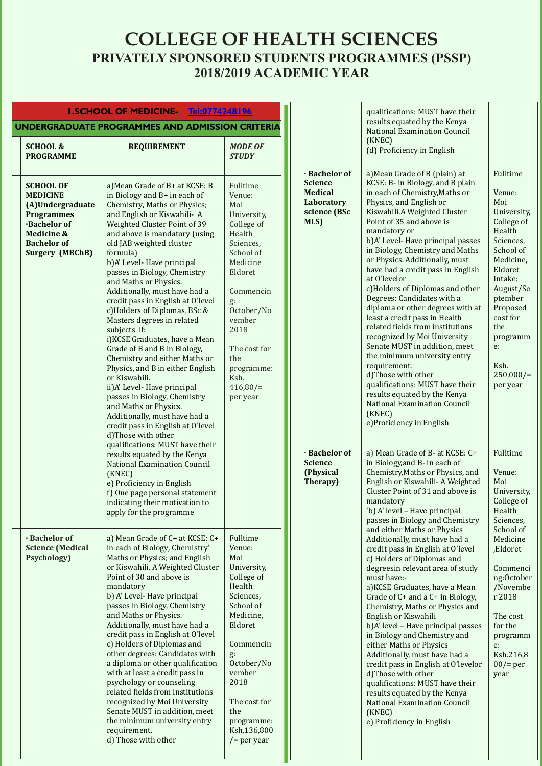## **COLLEGE OF HEALTH SCIENCES PRIVATELY SPONSORED STUDENTS PROGRAMMES (PSSP) 2018/2019 ACADEMIC YEAR**

| <b>I.SCHOOL OF MEDICINE-</b><br><b>Tel:0774248196</b>                                                                                                                       |                                                                                                                                                                                                                                                                                                                                                                                                                                                                                                                                                                                                                                                                                                                                                                                                                                                                    |                                                                                                                                                                                                                                             |                                                                                         | qualifications: MUST have their<br>results equated by the Kenya                                                                                                                                                                                                                                                                                                                                                                                                                                                                                                                                                                                                                                                                                                                                                                            |                                                                                                                                                                                                                                            |
|-----------------------------------------------------------------------------------------------------------------------------------------------------------------------------|--------------------------------------------------------------------------------------------------------------------------------------------------------------------------------------------------------------------------------------------------------------------------------------------------------------------------------------------------------------------------------------------------------------------------------------------------------------------------------------------------------------------------------------------------------------------------------------------------------------------------------------------------------------------------------------------------------------------------------------------------------------------------------------------------------------------------------------------------------------------|---------------------------------------------------------------------------------------------------------------------------------------------------------------------------------------------------------------------------------------------|-----------------------------------------------------------------------------------------|--------------------------------------------------------------------------------------------------------------------------------------------------------------------------------------------------------------------------------------------------------------------------------------------------------------------------------------------------------------------------------------------------------------------------------------------------------------------------------------------------------------------------------------------------------------------------------------------------------------------------------------------------------------------------------------------------------------------------------------------------------------------------------------------------------------------------------------------|--------------------------------------------------------------------------------------------------------------------------------------------------------------------------------------------------------------------------------------------|
| <b>SCHOOL &amp;</b><br><b>PROGRAMME</b>                                                                                                                                     | UNDERGRADUATE PROGRAMMES AND ADMISSION CRITERIA<br><b>REQUIREMENT</b>                                                                                                                                                                                                                                                                                                                                                                                                                                                                                                                                                                                                                                                                                                                                                                                              | <b>MODE OF</b><br><b>STUDY</b>                                                                                                                                                                                                              |                                                                                         | <b>National Examination Council</b><br>(KNEC)<br>(d) Proficiency in English                                                                                                                                                                                                                                                                                                                                                                                                                                                                                                                                                                                                                                                                                                                                                                |                                                                                                                                                                                                                                            |
| <b>SCHOOL OF</b><br><b>MEDICINE</b><br>(A)Undergraduate<br><b>Programmes</b><br><b>Bachelor of</b><br><b>Medicine &amp;</b><br><b>Bachelor of</b><br><b>Surgery (MBChB)</b> | a) Mean Grade of B+ at KCSE: B<br>in Biology and B+ in each of<br>Chemistry, Maths or Physics;<br>and English or Kiswahili- A<br>Weighted Cluster Point of 39<br>and above is mandatory (using<br>old JAB weighted cluster<br>formula)<br>b)A' Level- Have principal<br>passes in Biology, Chemistry<br>and Maths or Physics.<br>Additionally, must have had a<br>credit pass in English at O'level<br>c) Holders of Diplomas, BSc &<br>Masters degrees in related<br>subjects if:<br>i) KCSE Graduates, have a Mean<br>Grade of B and B in Biology,<br>Chemistry and either Maths or<br>Physics, and B in either English<br>or Kiswahili.<br>ii) A' Level- Have principal<br>passes in Biology, Chemistry<br>and Maths or Physics.<br>Additionally, must have had a<br>credit pass in English at O'level<br>d)Those with other<br>qualifications: MUST have their | Fulltime<br>Venue:<br>Moi<br>University,<br>College of<br>Health<br>Sciences,<br>School of<br>Medicine<br>Eldoret<br>Commencin<br>g:<br>October/No<br>vember<br>2018<br>The cost for<br>the<br>programme:<br>Ksh.<br>416,80/<br>per year    | · Bachelor of<br><b>Science</b><br><b>Medical</b><br>Laboratory<br>science (BSc<br>MLS) | a) Mean Grade of B (plain) at<br>KCSE: B- in Biology, and B plain<br>in each of Chemistry, Maths or<br>Physics, and English or<br>Kiswahili.A Weighted Cluster<br>Point of 35 and above is<br>mandatory or<br>b)A' Level- Have principal passes<br>in Biology, Chemistry and Maths<br>or Physics. Additionally, must<br>have had a credit pass in English<br>at O'levelor<br>c)Holders of Diplomas and other<br>Degrees: Candidates with a<br>diploma or other degrees with at<br>least a credit pass in Health<br>related fields from institutions<br>recognized by Moi University<br>Senate MUST in addition, meet<br>the minimum university entry<br>requirement.<br>d)Those with other<br>qualifications: MUST have their<br>results equated by the Kenya<br><b>National Examination Council</b><br>(KNEC)<br>e)Proficiency in English | Fulltime<br>Venue:<br>Moi<br>University,<br>College of<br>Health<br>Sciences,<br>School of<br>Medicine,<br>Eldoret<br>Intake:<br>August/Se<br>ptember<br>Proposed<br>cost for<br>the<br>programm<br>e:<br>Ksh.<br>$250,000/$ =<br>per year |
|                                                                                                                                                                             | results equated by the Kenya<br><b>National Examination Council</b><br>(KNEC)<br>e) Proficiency in English<br>f) One page personal statement<br>indicating their motivation to<br>apply for the programme                                                                                                                                                                                                                                                                                                                                                                                                                                                                                                                                                                                                                                                          |                                                                                                                                                                                                                                             | · Bachelor of<br><b>Science</b><br>(Physical<br>Therapy)                                | a) Mean Grade of B- at KCSE: C+<br>in Biology, and B- in each of<br>Chemistry, Maths or Physics, and<br>English or Kiswahili- A Weighted<br>Cluster Point of 31 and above is<br>mandatory<br>'b) A' level - Have principal<br>passes in Biology and Chemistry                                                                                                                                                                                                                                                                                                                                                                                                                                                                                                                                                                              | Fulltime<br>Venue:<br>Moi<br>University,<br>College of<br>Health<br>Sciences,                                                                                                                                                              |
| · Bachelor of<br><b>Science (Medical</b><br><b>Psychology</b> )                                                                                                             | a) Mean Grade of C+ at KCSE: C+<br>in each of Biology, Chemistry'<br>Maths or Physics; and English<br>or Kiswahili. A Weighted Cluster<br>Point of 30 and above is<br>mandatory<br>b) A' Level- Have principal<br>passes in Biology, Chemistry<br>and Maths or Physics.<br>Additionally, must have had a<br>credit pass in English at O'level<br>c) Holders of Diplomas and<br>other degrees: Candidates with<br>a diploma or other qualification<br>with at least a credit pass in<br>psychology or counseling<br>related fields from institutions<br>recognized by Moi University<br>Senate MUST in addition, meet<br>the minimum university entry<br>requirement.<br>d) Those with other                                                                                                                                                                        | Fulltime<br>Venue:<br>Moi<br>University,<br>College of<br>Health<br>Sciences,<br>School of<br>Medicine,<br>Eldoret<br>Commencin<br>g:<br>October/No<br>vember<br>2018<br>The cost for<br>the<br>programme:<br>Ksh.136,800<br>$/$ = per year |                                                                                         | and either Maths or Physics<br>Additionally, must have had a<br>credit pass in English at O'level<br>c) Holders of Diplomas and<br>degreesin relevant area of study<br>must have:-<br>a) KCSE Graduates, have a Mean<br>Grade of C+ and a C+ in Biology,<br>Chemistry, Maths or Physics and<br>English or Kiswahili<br>b)A' level - Have principal passes<br>in Biology and Chemistry and<br>either Maths or Physics<br>Additionally, must have had a<br>credit pass in English at O'levelor<br>d)Those with other<br>qualifications: MUST have their<br>results equated by the Kenya<br><b>National Examination Council</b><br>(KNEC)<br>e) Proficiency in English                                                                                                                                                                        | School of<br>Medicine<br>,Eldoret<br>Commenci<br>ng:October<br>/Novembe<br>r 2018<br>The cost<br>for the<br>programm<br>e:<br>Ksh.216,8<br>$00/$ = per<br>year                                                                             |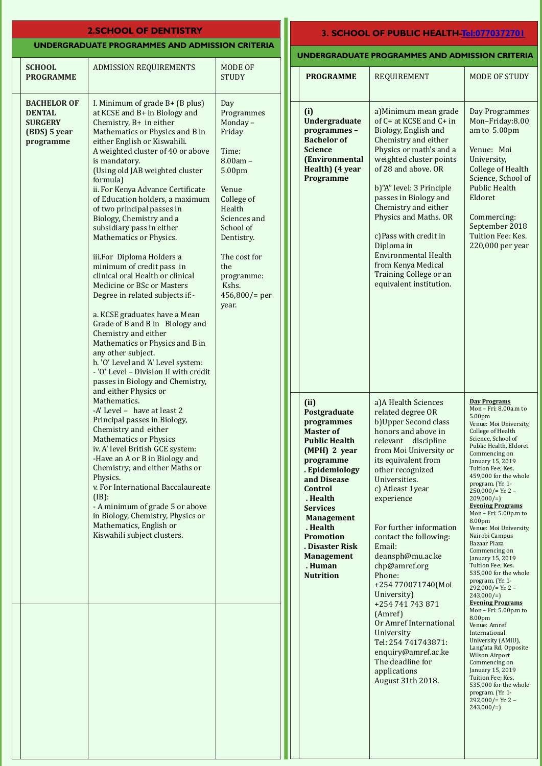### **UNDERGRADUATE PROGRAMMES AND ADMISSION CRITERIA**

### **2. SCHOOL OF DENTISTRY 3. SCHOOL OF PUBLIC HEALTH[-Tel:0770372701](Tel:0770372701)**

| UNDERGRADUATE PROGRAMMES AND ADMISSION CRITERIA |  |
|-------------------------------------------------|--|
|-------------------------------------------------|--|

|                                                                                    |                                                                                                                                                                                                                                                                                                                                                                                                                                                                                                                                                                                                                                                                                                                                                                                                                                                                                                                                 |                                                                                                                                                                                                                                |                                                                                                                               |                                                                                                                                                                                                                                                                                                                                                                                                                                      | UNDERGRADUATE PROGRAMMES AND ADMISSION CRITERIA                                                                                                                                                                                                                                                                                                                                                                                                                                                                                                                           |                                                                                                                                                                                                                                                                                                                                                                                                                                                                                                                                                                                                                                                                                                                                                                                                                                                                                                                                       |
|------------------------------------------------------------------------------------|---------------------------------------------------------------------------------------------------------------------------------------------------------------------------------------------------------------------------------------------------------------------------------------------------------------------------------------------------------------------------------------------------------------------------------------------------------------------------------------------------------------------------------------------------------------------------------------------------------------------------------------------------------------------------------------------------------------------------------------------------------------------------------------------------------------------------------------------------------------------------------------------------------------------------------|--------------------------------------------------------------------------------------------------------------------------------------------------------------------------------------------------------------------------------|-------------------------------------------------------------------------------------------------------------------------------|--------------------------------------------------------------------------------------------------------------------------------------------------------------------------------------------------------------------------------------------------------------------------------------------------------------------------------------------------------------------------------------------------------------------------------------|---------------------------------------------------------------------------------------------------------------------------------------------------------------------------------------------------------------------------------------------------------------------------------------------------------------------------------------------------------------------------------------------------------------------------------------------------------------------------------------------------------------------------------------------------------------------------|---------------------------------------------------------------------------------------------------------------------------------------------------------------------------------------------------------------------------------------------------------------------------------------------------------------------------------------------------------------------------------------------------------------------------------------------------------------------------------------------------------------------------------------------------------------------------------------------------------------------------------------------------------------------------------------------------------------------------------------------------------------------------------------------------------------------------------------------------------------------------------------------------------------------------------------|
| <b>SCHOOL</b><br><b>PROGRAMME</b>                                                  | <b>ADMISSION REQUIREMENTS</b>                                                                                                                                                                                                                                                                                                                                                                                                                                                                                                                                                                                                                                                                                                                                                                                                                                                                                                   | MODE OF<br><b>STUDY</b>                                                                                                                                                                                                        |                                                                                                                               | <b>PROGRAMME</b>                                                                                                                                                                                                                                                                                                                                                                                                                     | REQUIREMENT                                                                                                                                                                                                                                                                                                                                                                                                                                                                                                                                                               | <b>MODE OF STUDY</b>                                                                                                                                                                                                                                                                                                                                                                                                                                                                                                                                                                                                                                                                                                                                                                                                                                                                                                                  |
| <b>BACHELOR OF</b><br><b>DENTAL</b><br><b>SURGERY</b><br>(BDS) 5 year<br>programme | I. Minimum of grade $B+$ (B plus)<br>at KCSE and B+ in Biology and<br>Chemistry, B+ in either<br>Mathematics or Physics and B in<br>either English or Kiswahili.<br>A weighted cluster of 40 or above<br>is mandatory.<br>(Using old JAB weighted cluster<br>formula)<br>ii. For Kenya Advance Certificate<br>of Education holders, a maximum<br>of two principal passes in<br>Biology, Chemistry and a<br>subsidiary pass in either<br>Mathematics or Physics.<br>iii.For Diploma Holders a<br>minimum of credit pass in<br>clinical oral Health or clinical<br>Medicine or BSc or Masters<br>Degree in related subjects if:-<br>a. KCSE graduates have a Mean<br>Grade of B and B in Biology and<br>Chemistry and either<br>Mathematics or Physics and B in<br>any other subject.<br>b. 'O' Level and 'A' Level system:<br>- 'O' Level - Division II with credit<br>passes in Biology and Chemistry,<br>and either Physics or | Day<br>Programmes<br>Monday-<br>Friday<br>Time:<br>$8.00am -$<br>5.00pm<br>Venue<br>College of<br>Health<br>Sciences and<br>School of<br>Dentistry.<br>The cost for<br>the<br>programme:<br>Kshs.<br>$456,800/$ = per<br>year. | (i)<br>Undergraduate<br>programmes-<br><b>Bachelor</b> of<br><b>Science</b><br>(Environmental<br>Health) (4 year<br>Programme | a) Minimum mean grade<br>of C+ at KCSE and C+ in<br>Biology, English and<br>Chemistry and either<br>Physics or math's and a<br>weighted cluster points<br>of 28 and above. OR<br>b)"A" level: 3 Principle<br>passes in Biology and<br>Chemistry and either<br>Physics and Maths. OR<br>c)Pass with credit in<br>Diploma in<br><b>Environmental Health</b><br>from Kenya Medical<br>Training College or an<br>equivalent institution. | Day Programmes<br>Mon-Friday:8.00<br>am to 5.00pm<br>Venue: Moi<br>University,<br><b>College of Health</b><br>Science, School of<br><b>Public Health</b><br>Eldoret<br>Commercing:<br>September 2018<br>Tuition Fee: Kes.<br>220,000 per year                                                                                                                                                                                                                                                                                                                             |                                                                                                                                                                                                                                                                                                                                                                                                                                                                                                                                                                                                                                                                                                                                                                                                                                                                                                                                       |
|                                                                                    | Mathematics.<br>-A' Level - have at least 2<br>Principal passes in Biology,<br>Chemistry and either<br><b>Mathematics or Physics</b><br>iv. A' level British GCE system:<br>-Have an A or B in Biology and<br>Chemistry; and either Maths or<br>Physics.<br>v. For International Baccalaureate<br>$(IB)$ :<br>- A minimum of grade 5 or above<br>in Biology, Chemistry, Physics or<br>Mathematics, English or<br>Kiswahili subject clusters.                                                                                                                                                                                                                                                                                                                                                                                                                                                                                    |                                                                                                                                                                                                                                |                                                                                                                               | (ii)<br>Postgraduate<br>programmes<br><b>Master of</b><br><b>Public Health</b><br>(MPH) 2 year<br>programme<br>. Epidemiology<br>and Disease<br><b>Control</b><br>. Health<br><b>Services</b><br><b>Management</b><br>. Health<br><b>Promotion</b><br>. Disaster Risk<br><b>Management</b><br>. Human<br><b>Nutrition</b>                                                                                                            | a) A Health Sciences<br>related degree OR<br>b) Upper Second class<br>honors and above in<br>relevant discipline<br>from Moi University or<br>its equivalent from<br>other recognized<br>Universities.<br>c) Atleast 1year<br>experience<br>For further information<br>contact the following:<br>Email:<br>deansph@mu.ac.ke<br>chp@amref.org<br>Phone:<br>+254 770071740(Moi<br>University)<br>+254 741 743 871<br>(Amref)<br>Or Amref International<br>University<br>Tel: 254 741743871:<br>enquiry@amref.ac.ke<br>The deadline for<br>applications<br>August 31th 2018. | <b>Day Programs</b><br>Mon - Fri: 8.00a.m to<br>5.00 <sub>pm</sub><br>Venue: Moi University,<br>College of Health<br>Science, School of<br>Public Health, Eldoret<br>Commencing on<br>January 15, 2019<br>Tuition Fee; Kes.<br>459,000 for the whole<br>program. (Yr. 1-<br>$250,000/$ = Yr. 2 -<br>$209,000/=$<br><b>Evening Programs</b><br>Mon $-$ Fri: 5.00p.m to<br>8.00pm<br>Venue: Moi University,<br>Nairobi Campus<br>Bazaar Plaza<br>Commencing on<br>January 15, 2019<br>Tuition Fee; Kes.<br>535,000 for the whole<br>program. (Yr. 1-<br>$292,000/$ = Yr. 2 -<br>$243,000/=\right)$<br><b>Evening Programs</b><br>Mon - Fri: 5.00p.m to<br>8.00 <sub>pm</sub><br>Venue: Amref<br>International<br>University (AMIU),<br>Lang'ata Rd, Opposite<br><b>Wilson Airport</b><br>Commencing on<br>January 15, 2019<br>Tuition Fee; Kes.<br>535,000 for the whole<br>program. (Yr. 1-<br>292,000/= Yr. 2 -<br>$243,000/=\right)$ |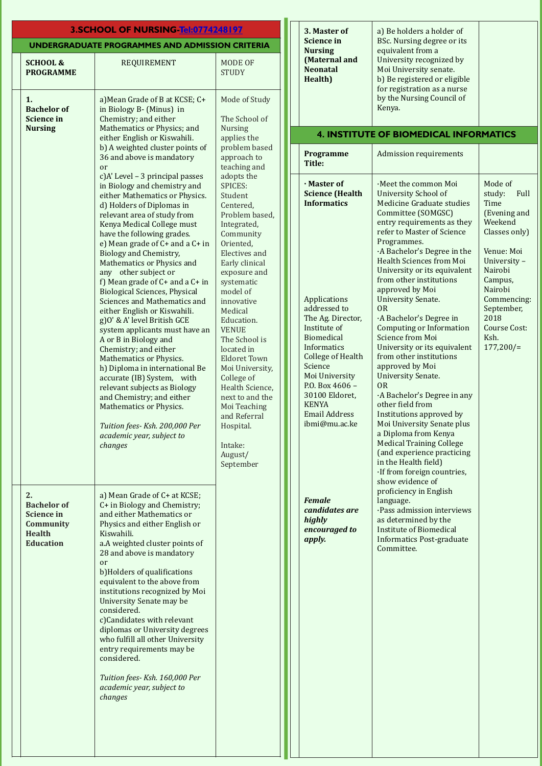|                                                                                                        | 3.SCHOOL OF NURSING-Tel:0774248197                                                                                                                                                                                                                                                                                                                                                                                                                                                                                                                                                                                                                                                                                                                                                                                                                                               |                                                                                                                                                                                                                                                                                                                                                                                                                                              | 3. Master of                                                                                                                                                                                                                                                                                                         | a) Be holders a holder of                                                                                                                                                                                                                                                                                                                                                                                                                                                                                                                                                                                                                                                                                                                                                  |                                                                                                                                                                                                                       |
|--------------------------------------------------------------------------------------------------------|----------------------------------------------------------------------------------------------------------------------------------------------------------------------------------------------------------------------------------------------------------------------------------------------------------------------------------------------------------------------------------------------------------------------------------------------------------------------------------------------------------------------------------------------------------------------------------------------------------------------------------------------------------------------------------------------------------------------------------------------------------------------------------------------------------------------------------------------------------------------------------|----------------------------------------------------------------------------------------------------------------------------------------------------------------------------------------------------------------------------------------------------------------------------------------------------------------------------------------------------------------------------------------------------------------------------------------------|----------------------------------------------------------------------------------------------------------------------------------------------------------------------------------------------------------------------------------------------------------------------------------------------------------------------|----------------------------------------------------------------------------------------------------------------------------------------------------------------------------------------------------------------------------------------------------------------------------------------------------------------------------------------------------------------------------------------------------------------------------------------------------------------------------------------------------------------------------------------------------------------------------------------------------------------------------------------------------------------------------------------------------------------------------------------------------------------------------|-----------------------------------------------------------------------------------------------------------------------------------------------------------------------------------------------------------------------|
|                                                                                                        | UNDERGRADUATE PROGRAMMES AND ADMISSION CRITERIA                                                                                                                                                                                                                                                                                                                                                                                                                                                                                                                                                                                                                                                                                                                                                                                                                                  |                                                                                                                                                                                                                                                                                                                                                                                                                                              | <b>Science in</b><br><b>Nursing</b>                                                                                                                                                                                                                                                                                  | BSc. Nursing degree or its<br>equivalent from a                                                                                                                                                                                                                                                                                                                                                                                                                                                                                                                                                                                                                                                                                                                            |                                                                                                                                                                                                                       |
| <b>SCHOOL &amp;</b><br><b>PROGRAMME</b>                                                                | <b>REQUIREMENT</b>                                                                                                                                                                                                                                                                                                                                                                                                                                                                                                                                                                                                                                                                                                                                                                                                                                                               | MODE OF<br><b>STUDY</b>                                                                                                                                                                                                                                                                                                                                                                                                                      | (Maternal and<br><b>Neonatal</b><br>Health)                                                                                                                                                                                                                                                                          | University recognized by<br>Moi University senate.<br>b) Be registered or eligible<br>for registration as a nurse                                                                                                                                                                                                                                                                                                                                                                                                                                                                                                                                                                                                                                                          |                                                                                                                                                                                                                       |
| 1.<br><b>Bachelor</b> of<br><b>Science in</b>                                                          | a) Mean Grade of B at KCSE; C+<br>in Biology B- (Minus) in<br>Chemistry; and either                                                                                                                                                                                                                                                                                                                                                                                                                                                                                                                                                                                                                                                                                                                                                                                              | Mode of Study<br>The School of                                                                                                                                                                                                                                                                                                                                                                                                               |                                                                                                                                                                                                                                                                                                                      | by the Nursing Council of<br>Kenya.                                                                                                                                                                                                                                                                                                                                                                                                                                                                                                                                                                                                                                                                                                                                        |                                                                                                                                                                                                                       |
| <b>Nursing</b>                                                                                         | Mathematics or Physics; and<br>either English or Kiswahili.                                                                                                                                                                                                                                                                                                                                                                                                                                                                                                                                                                                                                                                                                                                                                                                                                      | Nursing<br>applies the                                                                                                                                                                                                                                                                                                                                                                                                                       |                                                                                                                                                                                                                                                                                                                      | <b>4. INSTITUTE OF BIOMEDICAL INFORMATICS</b>                                                                                                                                                                                                                                                                                                                                                                                                                                                                                                                                                                                                                                                                                                                              |                                                                                                                                                                                                                       |
|                                                                                                        | b) A weighted cluster points of<br>36 and above is mandatory<br>or                                                                                                                                                                                                                                                                                                                                                                                                                                                                                                                                                                                                                                                                                                                                                                                                               | problem based<br>approach to<br>teaching and                                                                                                                                                                                                                                                                                                                                                                                                 | Programme<br>Title:                                                                                                                                                                                                                                                                                                  | <b>Admission requirements</b>                                                                                                                                                                                                                                                                                                                                                                                                                                                                                                                                                                                                                                                                                                                                              |                                                                                                                                                                                                                       |
|                                                                                                        | c)A' Level - 3 principal passes<br>in Biology and chemistry and<br>either Mathematics or Physics.<br>d) Holders of Diplomas in<br>relevant area of study from<br>Kenya Medical College must<br>have the following grades.<br>e) Mean grade of $C+$ and a $C+$ in<br>Biology and Chemistry,<br>Mathematics or Physics and<br>any other subject or<br>f) Mean grade of $C+$ and a $C+$ in<br><b>Biological Sciences, Physical</b><br>Sciences and Mathematics and<br>either English or Kiswahili.<br>g) O' & A' level British GCE<br>system applicants must have an<br>A or B in Biology and<br>Chemistry; and either<br>Mathematics or Physics.<br>h) Diploma in international Be<br>accurate (IB) System, with<br>relevant subjects as Biology<br>and Chemistry; and either<br>Mathematics or Physics.<br>Tuition fees- Ksh. 200,000 Per<br>academic year, subject to<br>changes | adopts the<br>SPICES:<br>Student<br>Centered,<br>Problem based,<br>Integrated,<br>Community<br>Oriented,<br>Electives and<br>Early clinical<br>exposure and<br>systematic<br>model of<br>innovative<br>Medical<br>Education.<br><b>VENUE</b><br>The School is<br>located in<br><b>Eldoret Town</b><br>Moi University,<br>College of<br>Health Science,<br>next to and the<br>Moi Teaching<br>and Referral<br>Hospital.<br>Intake:<br>August/ | · Master of<br><b>Science (Health</b><br><b>Informatics</b><br>Applications<br>addressed to<br>The Ag. Director,<br>Institute of<br>Biomedical<br>Informatics<br><b>College of Health</b><br>Science<br>Moi University<br>P.O. Box 4606 -<br>30100 Eldoret,<br><b>KENYA</b><br><b>Email Address</b><br>ibmi@mu.ac.ke | ·Meet the common Moi<br>University School of<br>Medicine Graduate studies<br>Committee (SOMGSC)<br>entry requirements as they<br>refer to Master of Science<br>Programmes.<br>A Bachelor's Degree in the<br>Health Sciences from Moi<br>University or its equivalent<br>from other institutions<br>approved by Moi<br><b>University Senate.</b><br><b>OR</b><br>A Bachelor's Degree in<br><b>Computing or Information</b><br>Science from Moi<br>University or its equivalent<br>from other institutions<br>approved by Moi<br><b>University Senate.</b><br><b>OR</b><br>A Bachelor's Degree in any<br>other field from<br>Institutions approved by<br>Moi University Senate plus<br>a Diploma from Kenya<br><b>Medical Training College</b><br>(and experience practicing | Mode of<br>study:<br>Full<br>Time<br>(Evening and<br>Weekend<br>Classes only)<br>Venue: Moi<br>University -<br>Nairobi<br>Campus,<br>Nairobi<br>Commencing:<br>September,<br>2018<br>Course Cost:<br>Ksh.<br>177,200/ |
| 2.<br><b>Bachelor</b> of<br><b>Science in</b><br><b>Community</b><br><b>Health</b><br><b>Education</b> | a) Mean Grade of C+ at KCSE;<br>C+ in Biology and Chemistry;<br>and either Mathematics or<br>Physics and either English or<br>Kiswahili.<br>a.A weighted cluster points of<br>28 and above is mandatory<br>or<br>b) Holders of qualifications<br>equivalent to the above from<br>institutions recognized by Moi<br>University Senate may be<br>considered.<br>c)Candidates with relevant<br>diplomas or University degrees<br>who fulfill all other University<br>entry requirements may be<br>considered.<br>Tuition fees- Ksh. 160,000 Per<br>academic year, subject to<br>changes                                                                                                                                                                                                                                                                                             | September                                                                                                                                                                                                                                                                                                                                                                                                                                    | <b>Female</b><br>candidates are<br>highly<br>encouraged to<br>apply.                                                                                                                                                                                                                                                 | in the Health field)<br>·If from foreign countries,<br>show evidence of<br>proficiency in English<br>language.<br>·Pass admission interviews<br>as determined by the<br><b>Institute of Biomedical</b><br><b>Informatics Post-graduate</b><br>Committee.                                                                                                                                                                                                                                                                                                                                                                                                                                                                                                                   |                                                                                                                                                                                                                       |